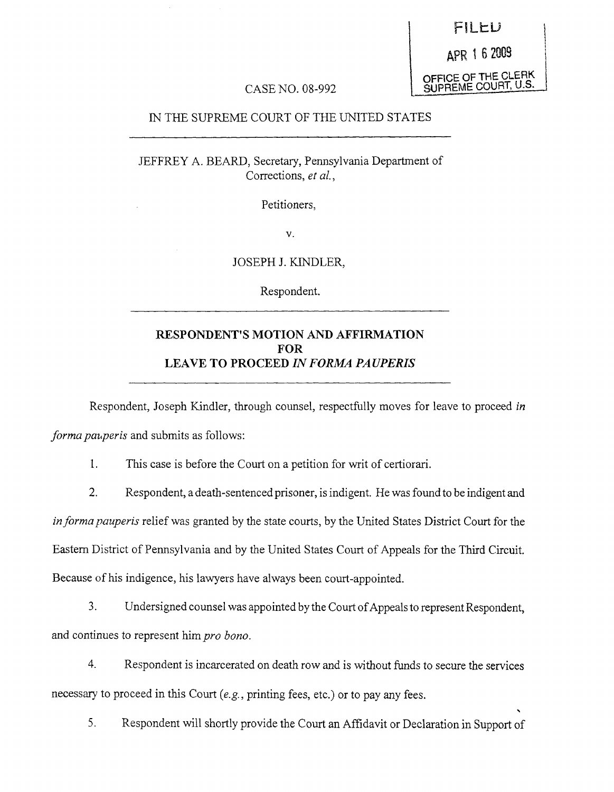FILED OFFICE OF THE CLERK SUPREME COURT, U.S.

## CASE NO. 08-992

### IN THE SUPREME COURT OF THE UNITED STATES

JEFFREY A. BEARD, Secretary, Pennsylvania Department of Corrections, *et al.,*

Petitioners,

V.

JOSEPH J. KINDLER,

Respondent.

## **RESPONDENT'S MOTION AND AFFIRMATION FOR LEAVE TO PROCEED** *IN FORMA PA UPERIS*

Respondent, Joseph Kindler, through counsel, respectfully moves for leave to proceed *in*

*forma pauperis* and submits as follows:

1. This case is before the Court on a petition for writ of certiorari.

2. Respondent, a death-sentenced prisoner, is indigent. He was found to be indigent and *informapauperis* relief was granted by the state courts, by the United States District Court for the Eastern District of Pennsylvania and by the United States Court of Appeals for the Third Circuit. Because of his indigence, his lawyers have always been court-appointed.

3. Undersigned counsel was appointed by the Court of Appeals to represent Respondent, and continues to represent him *pro bono.*

4. Respondent is incarcerated on death row and is without funds to secure the services necessary to proceed in this Court (e.g., printing fees, etc.) or to pay any fees.

5. Respondent will shortly provide the Court an Affidavit or Declaration in Support of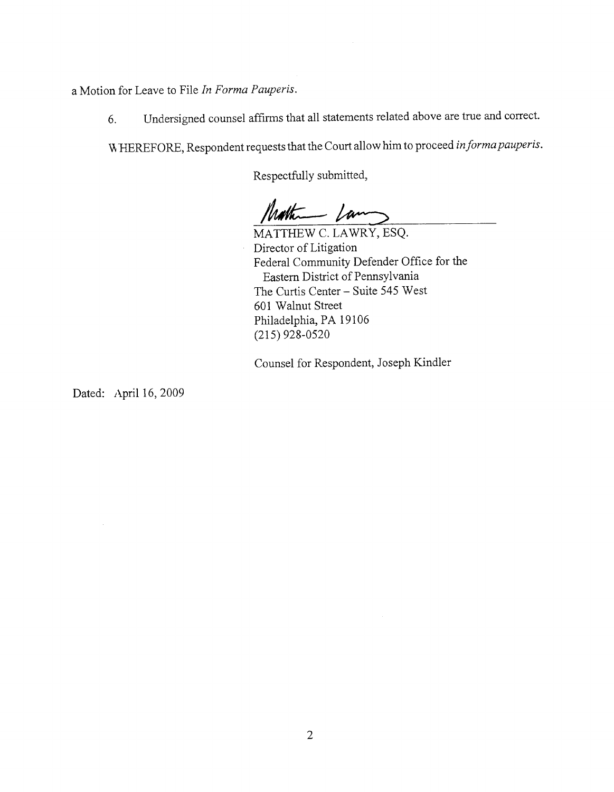a Motion for Leave to File *In Forma Pauperis.*

6. Undersigned counsel affirms that all statements related above are true and correct.

WHEREFORE, Respondent requests that the Court allow him to proceed *informa pauperis*.

Respectfully submitted,

Matheman Lam

MATTHEW C. LAWRY, ESQ. Director of Litigation Federal Community Defender Office for the Eastern District of Pennsylvania The Curtis Center- Suite 545 West 601 Walnut Street Philadelphia, PA 19106 (215) 928-0520

Counsel for Respondent, Joseph Kindler

Dated: April 16, 2009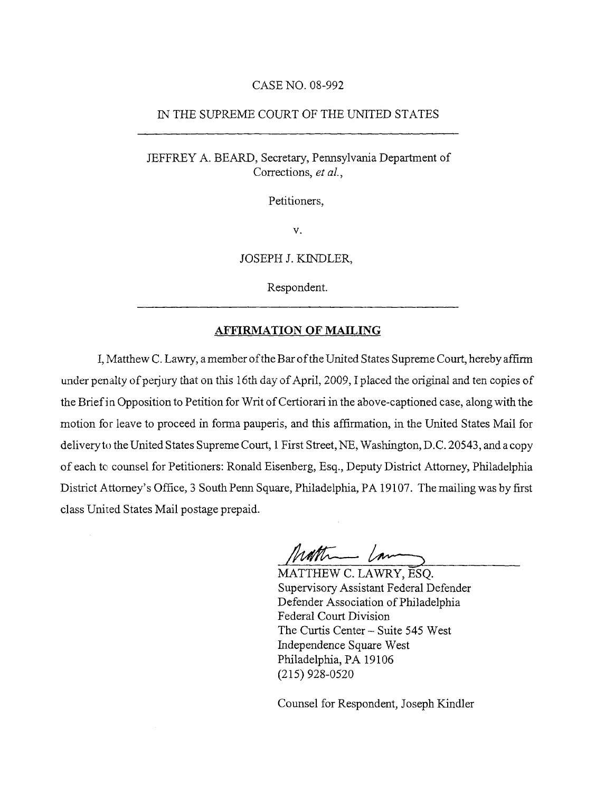### CASE NO. 08-992

#### IN THE SUPREME COURT OF THE UNITED STATES

### JEFFREY A. BEARD, Secretary, Pennsylvania Department of Corrections, *et aL,*

Petitioners,

V.

JOSEPH J. KINDLER,

Respondent.

### AFFIRMATION OF MAILING

I, Matthew C. Lawry, a member of the Bar of the United States Supreme Court, hereby affirm under penalty of perjury that on this 16th day of April, 2009, I placed the original and ten copies of the Brief in Opposition to Petition for Writ of Certiorari in the above-captioned case, along with the motion for leave to proceed in forma pauperis, and this affirmation, in the United States Mail for delivery to the United States Supreme Court, 1 First Street, NE, Washington, D.C. 20543, and a copy of each to counsel for Petitioners: Ronald Eisenberg, Esq., Deputy District Attorney, Philadelphia District Attorney's Office, 3 South Penn Square, Philadelphia, PA 19107. The mailing was by first class United States Mail postage prepaid.

nothing com

**MATTHEW** C. LAWRY, ESQ. Supervisory Assistant Federal Defender Defender Association of Philadelphia Federal Court Division The Curtis Center- Suite 545 West Independence Square West Philadelphia, PA 19106 (215) 928-0520

Counsel for Respondent, Joseph Kindler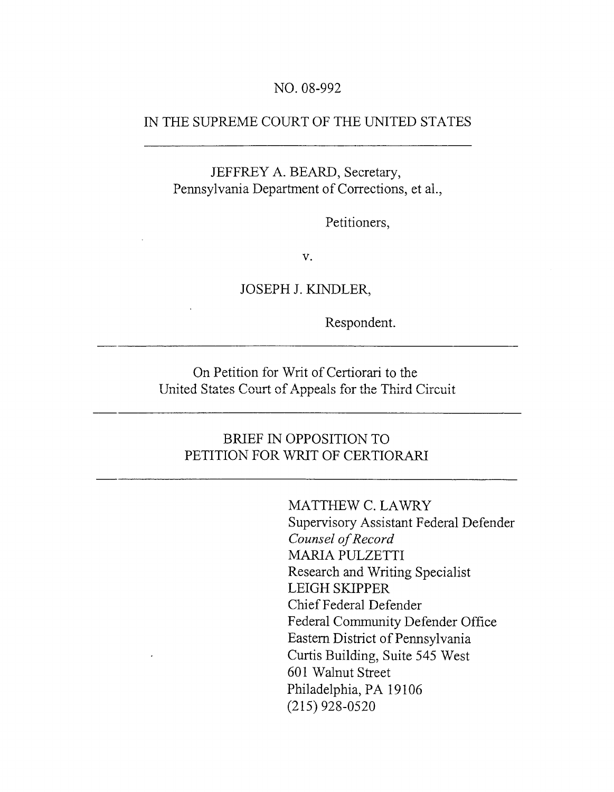## NO. 08-992

## IN THE SUPREME COURT OF THE UNITED STATES

JEFFREY A. BEARD, Secretary, Pennsylvania Department of Corrections, et al.,

Petitioners,

 $V<sub>1</sub>$ 

JOSEPH J. KINDLER,

Respondent.

**On Petition for Writ of Certiorari to the** United States Court of Appeals for the Third Circuit

# **BRIEF IN OPPOSITION TO** PETITION FOR WRIT OF CERTIORARI

MATTHEW C. LAWRY Supervisory Assistant Federal Defender *Counsel of Record* MARIA PULZETTI Research and Writing Specialist LEIGH SKIPPER Chief Federal Defender Federal Community Defender Office Eastern District of Pennsylvania Curtis Building, Suite 545 West 601 Walnut Street Philadelphia, PA 19106 (215) 928-0520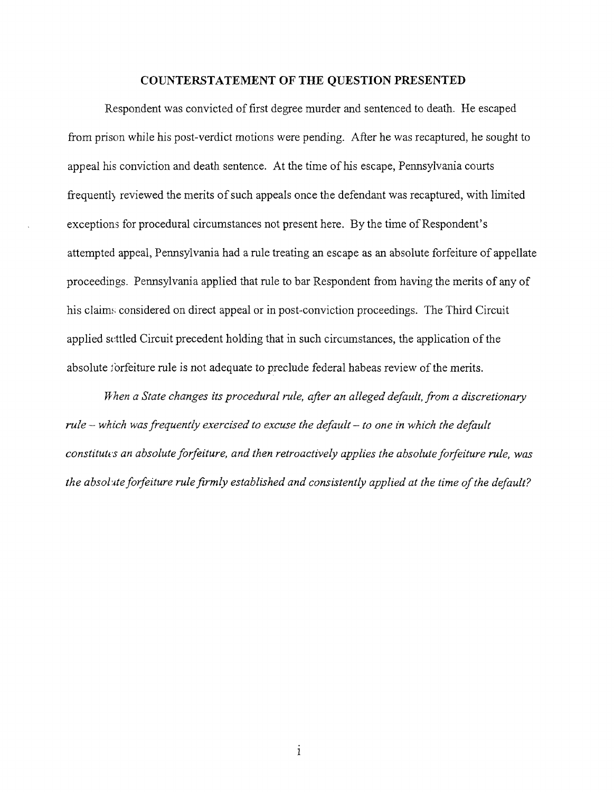#### **COUNTERSTATEMENT OF THE QUESTION PRESENTED**

Respondent was convicted of first degree murder and sentenced to death. He escaped from prison while his post-verdict motions were pending. After he was recaptured, he sought to appeal his conviction and death sentence. At the time of his escape, Pennsylvania courts frequently reviewed the merits of such appeals once the defendant was recaptured, with limited exceptions for procedural circumstances not present here. By the time of Respondent's attempted appeal, Pennsylvania had a rule treating an escape as an absolute forfeiture of appellate proceedings. Pennsylvania applied that rule to bar Respondent from having the merits of any of his claims considered on direct appeal or in post-conviction proceedings. The Third Circuit applied settled Circuit precedent holding that in such circumstances, the application of the absolute for feiture rule is not adequate to preclude federal habeas review of the merits.

*I~ hen a State changes its procedural rule, after an alleged default, from a discretionary rule- which was frequently exercised to excuse the default- to one in which the default constitutes an absolute forfeiture, and then retroactively applies the absolute forfeiture rule, was* the absolute forfeiture rule firmly established and consistently applied at the time of the default?

 $\mathbf{i}$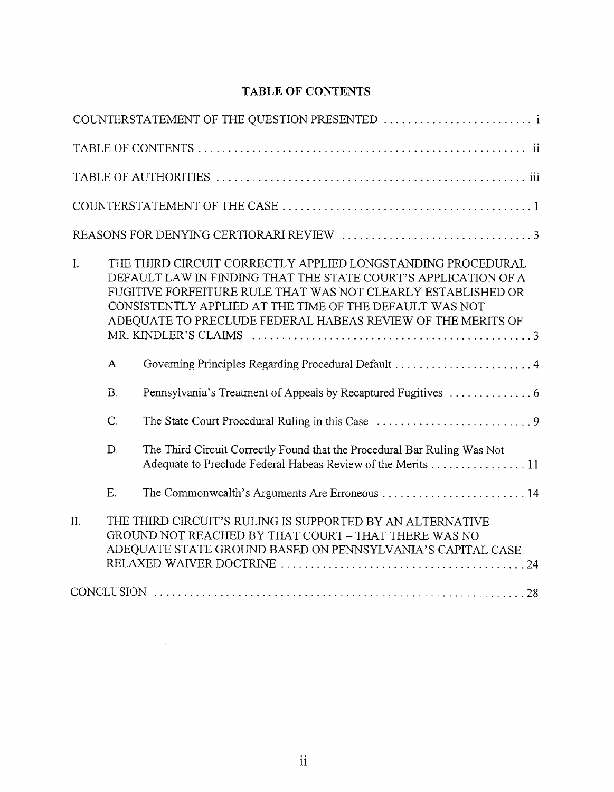# **TABLE OF CONTENTS**

|     |              | COUNTERSTATEMENT OF THE QUESTION PRESENTED  i                                                                                                                                                                                                                                                                           |
|-----|--------------|-------------------------------------------------------------------------------------------------------------------------------------------------------------------------------------------------------------------------------------------------------------------------------------------------------------------------|
|     |              |                                                                                                                                                                                                                                                                                                                         |
|     |              |                                                                                                                                                                                                                                                                                                                         |
|     |              |                                                                                                                                                                                                                                                                                                                         |
|     |              |                                                                                                                                                                                                                                                                                                                         |
| I.  |              | THE THIRD CIRCUIT CORRECTLY APPLIED LONGSTANDING PROCEDURAL<br>DEFAULT LAW IN FINDING THAT THE STATE COURT'S APPLICATION OF A<br>FUGITIVE FORFEITURE RULE THAT WAS NOT CLEARLY ESTABLISHED OR<br>CONSISTENTLY APPLIED AT THE TIME OF THE DEFAULT WAS NOT<br>ADEQUATE TO PRECLUDE FEDERAL HABEAS REVIEW OF THE MERITS OF |
|     | $\mathbf{A}$ |                                                                                                                                                                                                                                                                                                                         |
|     | $B$ .        |                                                                                                                                                                                                                                                                                                                         |
|     | $\mathsf{C}$ |                                                                                                                                                                                                                                                                                                                         |
|     | D.           | The Third Circuit Correctly Found that the Procedural Bar Ruling Was Not<br>Adequate to Preclude Federal Habeas Review of the Merits 11                                                                                                                                                                                 |
|     | E.           | The Commonwealth's Arguments Are Erroneous 14                                                                                                                                                                                                                                                                           |
| II. |              | THE THIRD CIRCUIT'S RULING IS SUPPORTED BY AN ALTERNATIVE<br>GROUND NOT REACHED BY THAT COURT - THAT THERE WAS NO<br>ADEQUATE STATE GROUND BASED ON PENNSYLVANIA'S CAPITAL CASE                                                                                                                                         |
|     |              |                                                                                                                                                                                                                                                                                                                         |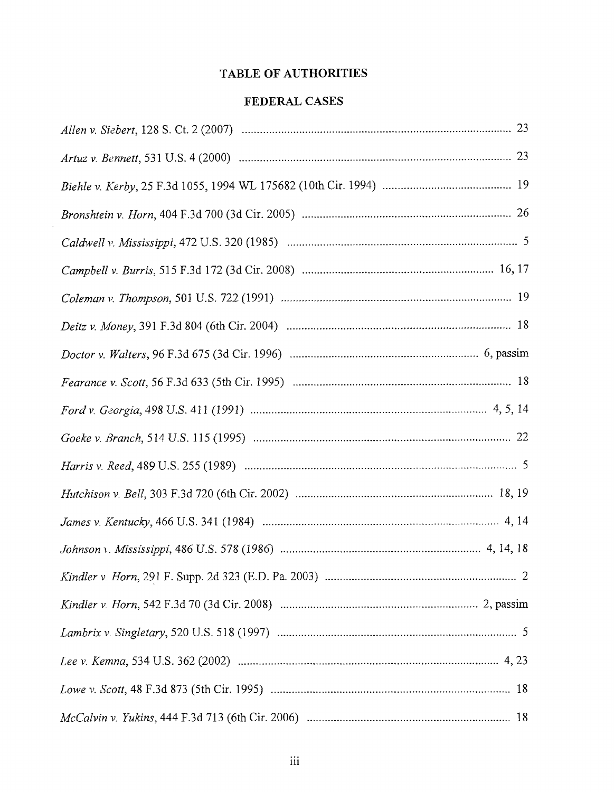## **TABLE OF AUTHORITIES**

# **FEDERAL CASES**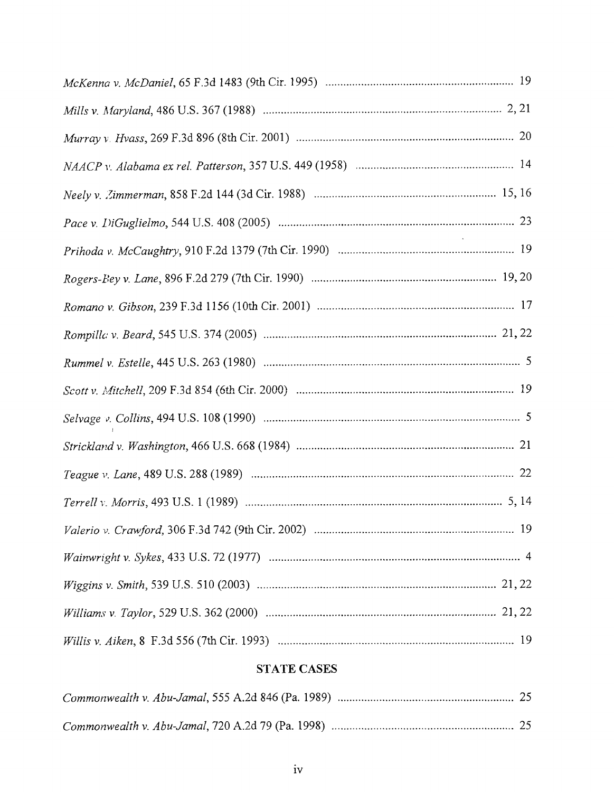# **STATE CASES**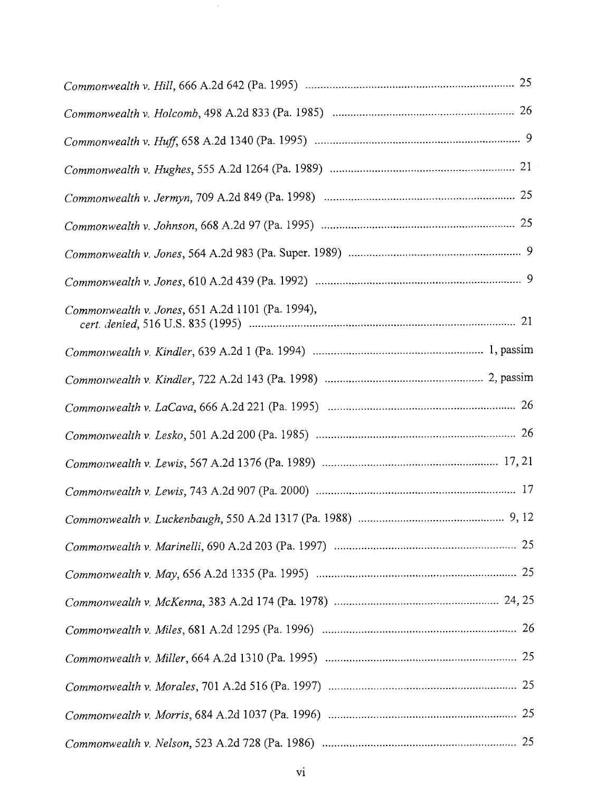| Commonwealth v. Jones, 651 A.2d 1101 (Pa. 1994), |
|--------------------------------------------------|
|                                                  |
|                                                  |
|                                                  |
|                                                  |
|                                                  |
|                                                  |
|                                                  |
|                                                  |
|                                                  |
|                                                  |
|                                                  |
|                                                  |
|                                                  |
|                                                  |
|                                                  |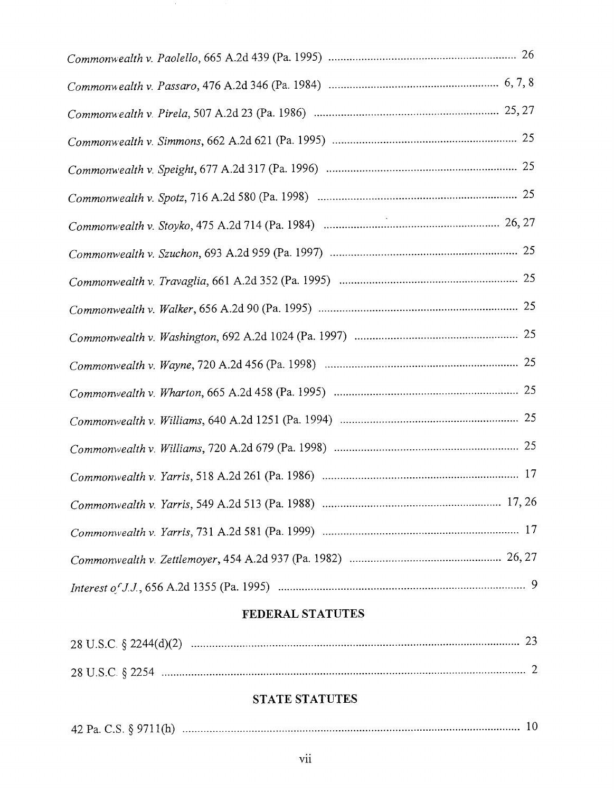$\mathcal{A}$ 

# **FEDERAL STATUTES**

# **STATE STATUTES**

|--|--|--|--|--|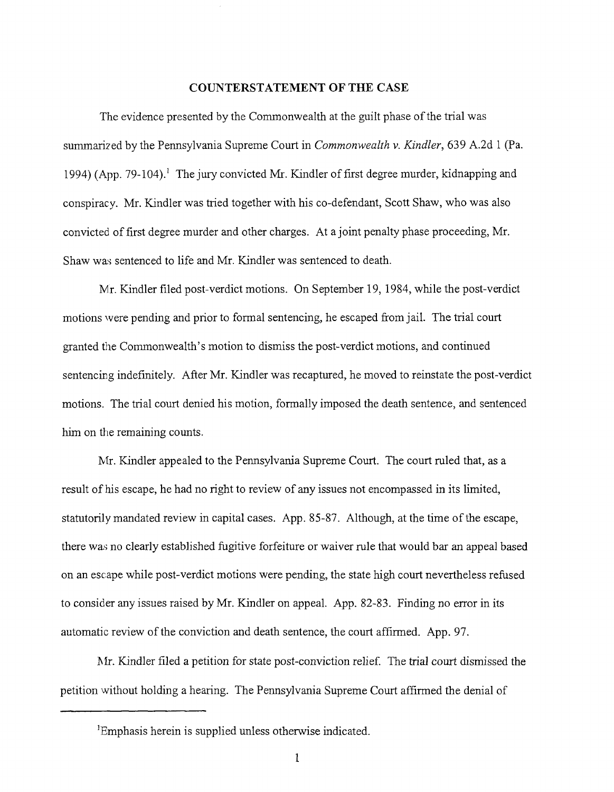### COUNTERSTATEMENT OF THE CASE

The evidence presented by the Commonwealth at the guilt phase of the trial was summarized by the Pennsylvania Supreme Court in *Commonwealth v. Kindler,* 639 A.2d 1 (Pa. 1994) (App. 79-104).<sup>1</sup> The jury convicted Mr. Kindler of first degree murder, kidnapping and conspiracy. Mr. Kindler was tried together with his co-defendant, Scott Shaw, who was also convicted of first degree murder and other charges. At a joint penalty phase proceeding, Mr. Shaw was sentenced to life and Mr. Kindler was sentenced to death.

Mr. Kindler filed post-verdict motions. On September 19, 1984, while the post-verdict motions were pending and prior to formal sentencing, he escaped from jail. The trial court granted the Commonwealth's motion to dismiss the post-verdict motions, and continued sentencing indefinitely. After Mr. Kindler was recaptured, he moved to reinstate the post-verdict motions. The trial court denied his motion, formally imposed the death sentence, and sentenced him on the remaining counts.

Mr. Kindler appealed to the Pennsylvania Supreme Court. The court ruled that, as a result of his escape, he had no right to review of any issues not encompassed in its limited, statutorily mandated review in capital cases. App. 85-87. Although, at the time of the escape, there was no clearly established fugitive forfeiture or waiver rule that would bar an appeal based on an escape while post-verdict motions were pending, the state high court nevertheless refused to consider any issues raised by Mr. Kindler on appeal. App. 82-83. Finding no error in its automatic review of the conviction and death sentence, the court affirmed. App. 97.

Mr. Kindler filed a petition for state post-conviction relief. The trial court dismissed the petition without holding a hearing. The Pennsylvania Supreme Court affirmed the denial of

<sup>&</sup>lt;sup>1</sup>Emphasis herein is supplied unless otherwise indicated.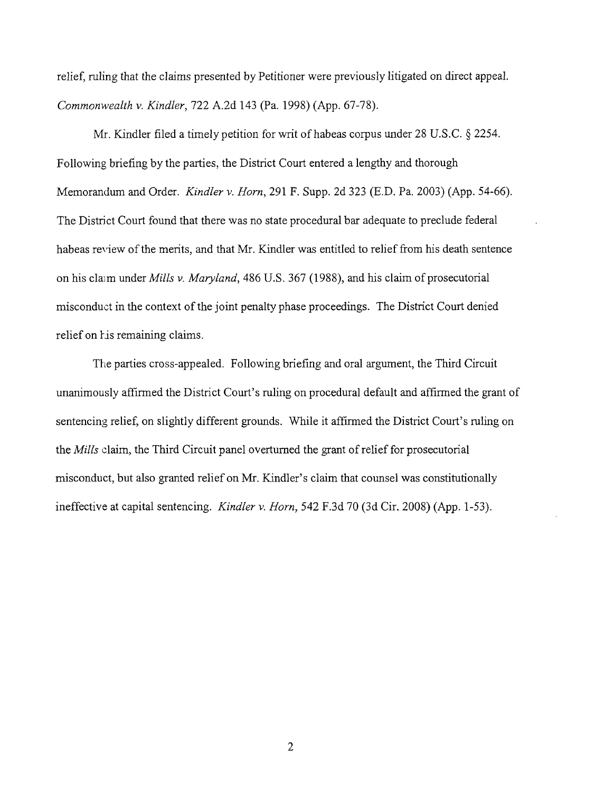relief, ruling that the claims presented by Petitioner were previously litigated on direct appeal. *Commonwealth v. Kindler,* 722 A.2d 143 (Pa. 1998) (App. 67-78).

Mr. Kindler filed a timely petition for writ of habeas corpus under 28 U.S.C. § 2254. Following briefing by the parties, the District Court entered a lengthy and thorough Memorandum and Order. *Kindler v. Horn,* 291 F. Supp. 2d 323 (E.D. Pa. 2003) (App. 54-66). The District Court found that there was no state procedural bar adequate to preclude federal habeas review of the merits, and that Mr. Kindler was entitled to relief from his death sentence on his claim under *Mills v. Maryland*, 486 U.S. 367 (1988), and his claim of prosecutorial misconduct in the context of the joint penalty phase proceedings. The District Court denied relief on his remaining claims.

The parties cross-appealed. Following briefing and oral argument, the Third Circuit unanimously affirmed the District Court's ruling on procedural default and affirmed the grant of sentencing relief, on slightly different grounds. While it affirmed the District Court's ruling on the *Mills* claim, the Third Circuit panel overturned the grant of relief for prosecutorial misconduct, but also granted relief on Mr. Kindler's claim that counsel was constitutionally ineffective at capital sentencing. *Kindler v. Horn,* 542 F.3d 70 (3d Cir. 2008) (App. 1-53).

 $\overline{2}$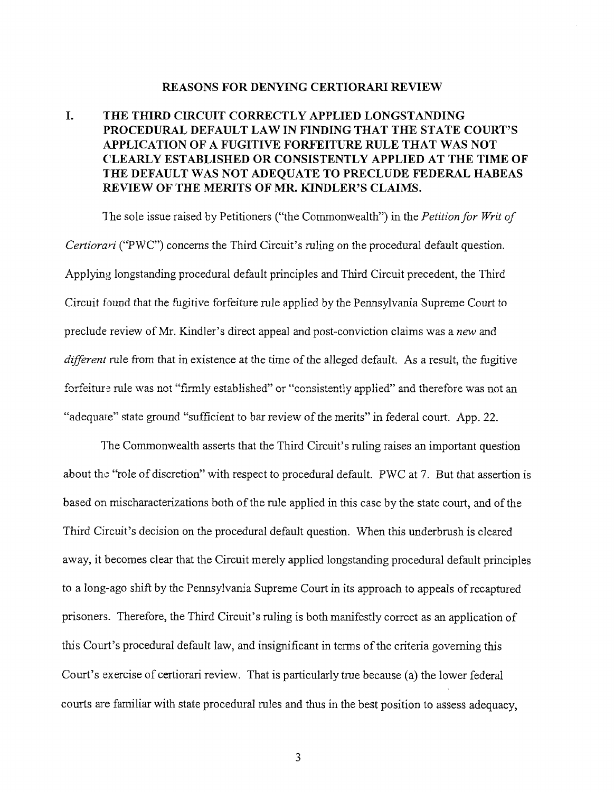#### REASONS FOR DENYING CERTIORARI REVIEW

## I. THE THIRD CIRCUIT CORRECTLY APPLIED LONGSTANDING PROCEDURAL DEFAULT LAW IN FINDING THAT THE STATE COURT'S APPLICATION OF A FUGITIVE FORFEITURE RULE THAT WAS NOT CLEARLY ESTABLISHED OR CONSISTENTLY APPLIED AT THE TIME OF THE DEFAULT WAS NOT ADEQUATE TO PRECLUDE FEDERAL HABEAS REVIEW OF THE MERITS OF **MR.** KINDLER'S CLAIMS.

The sole issue raised by Petitioners ("the Commonwealth") in the *Petition for Writ of Certiorari* ("PWC") concerns the Third Circuit's ruling on the procedural default question. Applying longstanding procedural default principles and Third Circuit precedent, the Third Circuit found that the fugitive forfeiture rule applied by the Pennsylvania Supreme Court to preclude review of Mr. Kindler's direct appeal and post-conviction claims was a *new* and *different* rule from that in existence at the time of the alleged default. As a result, the fugitive forfeiture rule was not "firmly established" or "consistently applied" and therefore was not an "adequate" state ground "sufficient to bar review of the merits" in federal court. App. 22.

The Commonwealth asserts that the Third Circuit's ruling raises an important question about the "role of discretion" with respect to procedural default. PWC at 7. But that assertion is based on mischaracterizations both of the rule applied in this case by the state court, and of the Third Circuit's decision on the procedural default question. When this underbrush is cleared away, it becomes clear that the Circuit merely applied longstanding procedural default principles to a long-ago shift by the Pennsylvania Supreme Court in its approach to appeals of recaptured prisoners. Therefore, the Third Circuit's ruling is both manifestly correct as an application of this Court's procedural default law, and insignificant in terms of the criteria governing this Court's exercise of certiorari review. That is particularly true because (a) the lower federal courts are familiar with state procedural rules and thus in the best position to assess adequacy,

3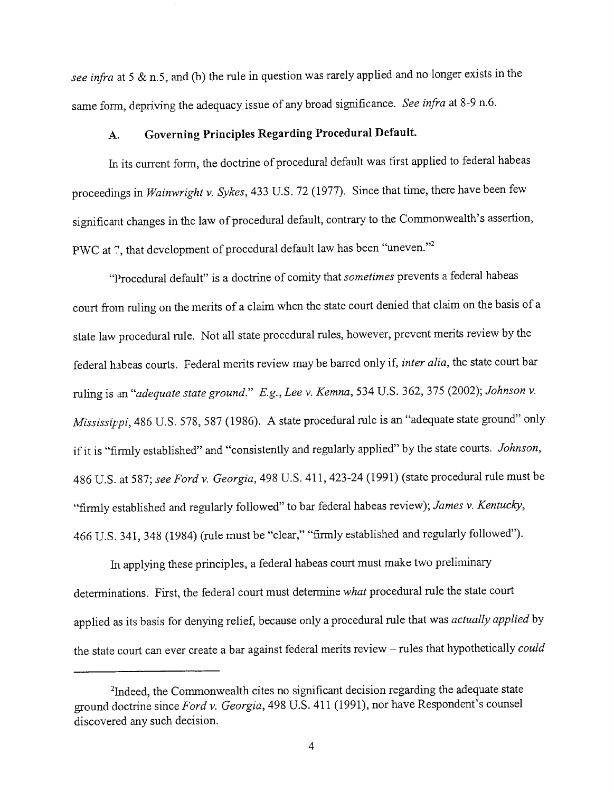*see infra* at 5 & n.5, and (b) the rule in question was rarely applied and no longer exists in the same form, depriving the adequacy issue of any broad significance. *See infra* at 8-9 n.6.

# **A. Governing Principles Regarding Procedural Default.**

In its current form, the doctrine of procedural default was first applied to federal habeas proceedings in *Wainwright v. Sykes,* 433 U.S. 72 (1977). Since that time, there have been few significant changes in the law of procedural default, contrary to the Commonwealth's assertion, PWC at 7, that development of procedural default law has been "uneven."<sup>2</sup>

"Procedural default" is a doctrine of comity that *sometimes* prevents a federal habeas court from ruling on the merits of a claim when the state court denied that claim on the basis of a state law procedural rule. Not all state procedural rules, however, prevent merits review by the federal habeas courts. Federal merits review may be barred only if, *inter alia,* the state court bar ruling is an *"adequate state ground." E.g., Lee v. Kemna,* 534 U.S. 362, 375 (2002); *Johnson v. Mississippi*, 486 U.S. 578, 587 (1986). A state procedural rule is an "adequate state ground" only if it is "firmly established" and "consistently and regularly applied" by the state courts. *Johnson,* 486 U.S. at 587; *see Ford v. Georgia,* 498 U.S. 411,423-24 (1991) (state procedural rule must be "firmly established and regularly followed" to bar federal habeas review); *James v. Kentucky,* 466 U.S. 341, 348 (1984) (rule must be "clear," "firmly established and regularly followed").

In applying these principles, a federal habeas court must make two preliminary determinations. First, the federal court must determine *what* procedural rule the state court applied as its basis for denying relief, because only a procedural rule that was *actually applied* by the state court can ever create a bar against federal merits review - rules that hypothetically *could*

<sup>&</sup>lt;sup>2</sup>Indeed, the Commonwealth cites no significant decision regarding the adequate state ground doctrine since *Ford v. Georgia,* 498 U.S. 411 (1991), nor have Respondent's counsel discovered any such decision.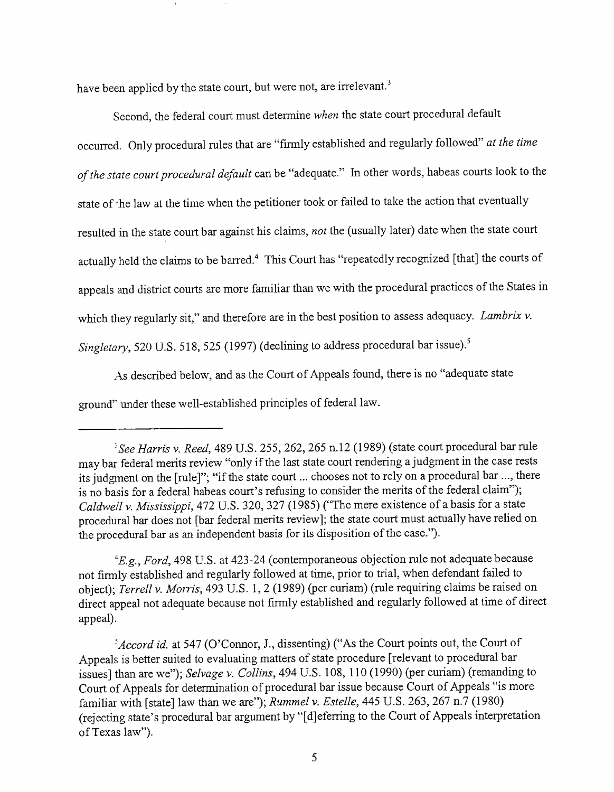have been applied by the state court, but were not, are irrelevant.<sup>3</sup>

Second, the federal court must determine *when* the state court procedural default occurred. Only procedural rules that are "firmly established and regularly followed" *at the time of the state court procedural default* can be "adequate." In other words, habeas courts look to the state of the law at the time when the petitioner took or failed to take the action that eventually resulted in the state court bar against his claims, *not* the (usually later) date when the state court actually held the claims to be barred.<sup>4</sup> This Court has "repeatedly recognized [that] the courts of appeals and district courts are more familiar than we with the procedural practices of the States in which they regularly sit," and therefore are in the best position to assess adequacy. *Lambrix v. Singletary*, 520 U.S. 518, 525 (1997) (declining to address procedural bar issue).<sup>5</sup>

As described below, and as the Court of Appeals found, there is no "adequate state ground" under these well-established principles of federal law.

*"E.g., Ford,* 498 U.S. at 423-24 (contemporaneous objection rule not adequate because not firmly established and regularly followed at time, prior to trial, when defendant failed to object); *Terrell v. Morris,* 493 U.S. 1, 2 (1989) (per curiam) (rule requiring claims be raised on direct appeal not adequate because not firmly established and regularly followed at time of direct appeal).

*~Accord id. at* 547 (O'Connor, J., dissenting) ("As the Court points out, the Court of Appeals is better suited to evaluating matters of state procedure [relevant to procedural bar issues] than are we"); *Selvage v. Collins,* 494 U.S. 108, 110 (1990) (per curiam) (remanding to Court of Appeals for determination of procedural bar issue because Court of Appeals "is more familiar with [state] law than we are"); *Rummel v. Estelle,* 445 U.S. 263,267 n.7 (1980) (rejecting state's procedural bar argument by "[d]eferring to the Court of Appeals interpretation of Texas law").

*<sup>:~</sup>See Harris v. Reed,* 489 U.S. 255, 262, 265 n.12 (1989) (state court procedural bar rule may bar federal merits review "only if the last state court rendering a judgment in the case rests its judgment on the [rule]"; "if the state court ... chooses not to rely on a procedural bar ..., there is no basis for a federal habeas court's refusing to consider the merits of the federal claim"); *Caldwell v. Mississippi,* 472 U.S. 320, 327 (1985) ("The mere existence of a basis for a state procedural bar does not [bar federal merits review]; the state court must actually have relied on the procedural bar as an independent basis for its disposition of the case.").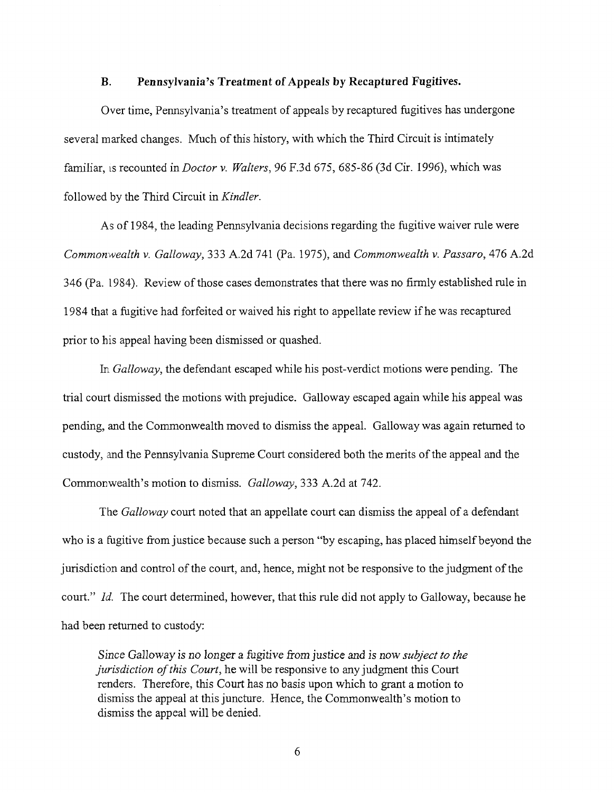#### **B. Pennsylvania's Treatment of Appeals by Recaptured Fugitives.**

Over time, Pennsylvania's treatment of appeals by recaptured fugitives has undergone several marked changes. Much of this history, with which the Third Circuit is intimately famiiiar, ts recounted in *Doctor v. Waiters,* 96 F.3d 675, 685-86 (3d Cir. I996), which was followed by the Third Circuit in *Kindler.*

As of 1984, the leading Pennsylvania decisions regarding the fugitive waiver rule were *Common~vealth v. Galloway,* 333 A.2d 741 (Pa. 1975), and *Commonwealth v. Passaro,* 476 A.2d 346 (Pa. 1984). Review of those cases demonstrates that there was no firmly established role in 1984 that a fugitive had forfeited or waived his right to appellate review if he was recaptured prior to his appeal having been dismissed or quashed.

*In Galloway,* the defendant escaped while his post-verdict motions were pending. The trial court dismissed the motions with prejudice. Galloway escaped again while his appeal was pending, and the Commonwealth moved to dismiss the appeal. Galloway was again returned to custody, and the Pennsylvania Supreme Court considered both the merits of the appeal and the Commonwealth's motion to dismiss. *Galloway,* 333 A.2d at 742.

The *Galloway* court noted that an appellate court can dismiss the appeal of a defendant who is a fugitive from justice because such a person "by escaping, has placed himself beyond the jurisdiction and control of the court, and, hence, might not be responsive to the judgment of the court." *Id.* The court determined, however, that this rule did not apply to Galloway, because he had been returned to custody:

*Since* Galloway is no *longer* a fugitive from *justice* and is now *subject to the jurisdiction of this Court,* he will be responsive to any judgment this Court renders. Therefore, this Court has no basis upon which to grant a motion to dismiss the appeal at this juncture. Hence, the Commonwealth's motion to dismiss the appeal will be denied.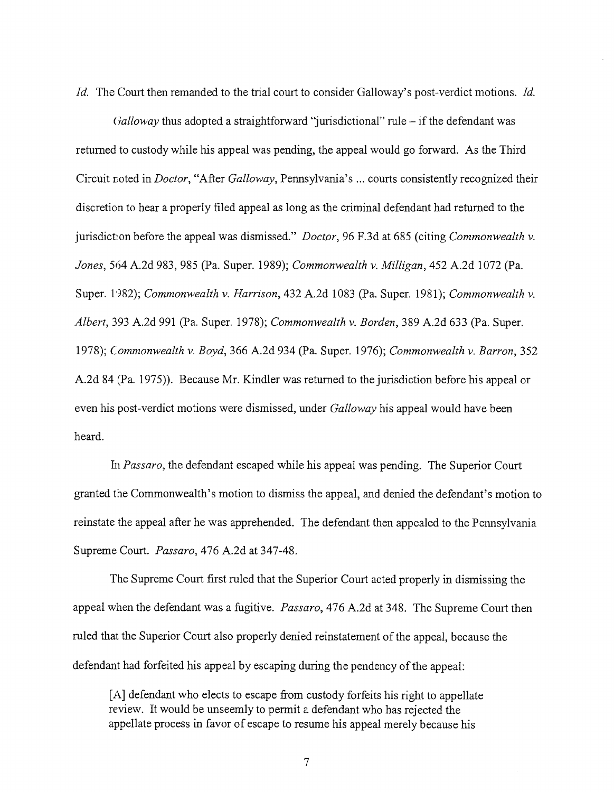*Id.* The Court then remanded to the trial court to consider Galloway's post-verdict motions. *Id.*

*(falloway thus adopted a straightforward "jurisdictional" rule – if the defendant was* returned to custody while his appeal was pending, the appeal would go forward. As the Third Circuit r.oted in *Doctor,* "After *Galloway,* Pennsylvania's ... courts consistently recognized their discretion to hear a properly filed appeal as long as the criminal defendant had returned to the jurisdiction before the appeal was dismissed." *Doctor,* 96 F.3d at 685 (citing *Commonwealth v. Jones,* 564 A.2d 983,985 (Pa. Super. 1989); *Commonwealth v. Milligan,* 452 A.2d 1072 (Pa. Super. 1982); *Commonwealth v. Harrison*, 432 A.2d 1083 (Pa. Super. 1981); *Commonwealth v. Albert,* 393 A.2d 991 (Pa. Super. 1978); *Commonwealth v. Borden,* 389 A.2d 633 (Pa. Super. 1978); *Commonwealth v. Boyd,* 366 A.2d 934 (Pa. Super. 1976); *Commonwealth v. Barton,* 352 A.2d 84 (Pa. 1975)). Because Mr. Kindler was returned to the jurisdiction before his appeal or even his post-verdict motions were dismissed, under *Galloway* his appeal would have been heard.

*Im Passaro, the* defendant escaped while his appeal was pending. The Superior Court granted the Commonwealth's motion to dismiss the appeal, and denied the defendant's motion to reinstate the appeal after he was apprehended. The defendant then appealed to the Pennsylvania Supreme Court. *Passaro,* 476 A.2d at 347-48.

The Supreme Court first ruled that the Superior Court acted properly in dismissing the appeal when the defendant was a fugitive. *Passaro,* 476 A.2d at 348. The Supreme Court then ruled that the Superior Court also properly denied reinstatement of the appeal, because the defendant had forfeited his appeal by escaping during the pendency of the appeal:

[A] defendant who elects to escape from custody forfeits his right to appellate review. It would be unseemly to permit a defendant who has rejected the appellate process in favor of escape to resume his appeal merely because his

 $\overline{7}$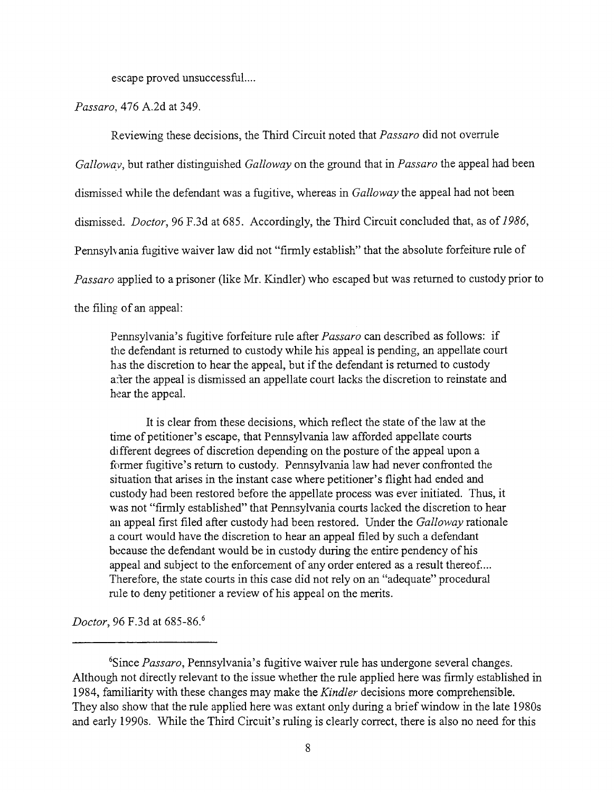escape proved unsuccessful....

*Passaro,* 476 A.2d at 349.

Reviewing these decisions, the Third Circuit noted that *Passaro* did not overrule

*Galloway,* but rather distinguished *Galloway* on the ground that in *Passaro* the appeal had been

dismissed while the defendant was a fugitive, whereas in *Galloway* the appeal had not been

dismissed. *Doctor,* 96 F.3d at 685. Accordingly, the Third Circuit concluded that, as of *1986,*

Pennsylvania fugitive waiver law did not "firmly establish" that the absolute forfeiture rule of

*Passaro* applied to a prisoner (like Mr. Kindler) who escaped but was returned to custody prior to

the filing of an appeal:

Pennsylvania's fugitive forfeiture rule after *Passaro* can described as follows: if the defendant is returned to custody while his appeal is pending, an appellate court has the discretion to hear the appeal, but if the defendant is returned to custody after the appeal is dismissed an appellate court lacks the discretion to reinstate and hear the appeal.

It is clear from these decisions, which reflect the state of the law at the time of petitioner's escape, that Pennsylvania law afforded appellate courts different degrees of discretion depending on the posture of the appeal upon a former fugitive's return to custody. Pennsylvania law had never confronted the situation that arises in the instant case where petitioner's flight had ended and custody had been restored before the appellate process was ever initiated. Thus, it was not "firmly established" that Pennsylvania courts lacked the discretion to hear an appeal first filed after custody had been restored. Under the *Galloway* rationale a court would have the discretion to hear an appeal filed by such a defendant because the defendant would be in custody during the entire pendency of his appeal and subject to the enforcement of any order entered as a result thereof.... Therefore, the state courts in this case did not rely on an "adequate" procedural rule to deny petitioner a review of his appeal on the merits.

*Doctor*, 96 F.3d at 685-86.<sup>6</sup>

<sup>6</sup>Since *Passaro,* Pennsylvania's fugitive waiver rule has undergone several changes. Although not directly relevant to the issue whether the rule applied here was firmly established in 1984, familiarity with these changes may make the *Kindler* decisions more comprehensible. They also show that the rule applied here was extant only during a brief window in the late 1980s and early 1990s. While the Third Circuit's ruling is clearly correct, there is also no need for this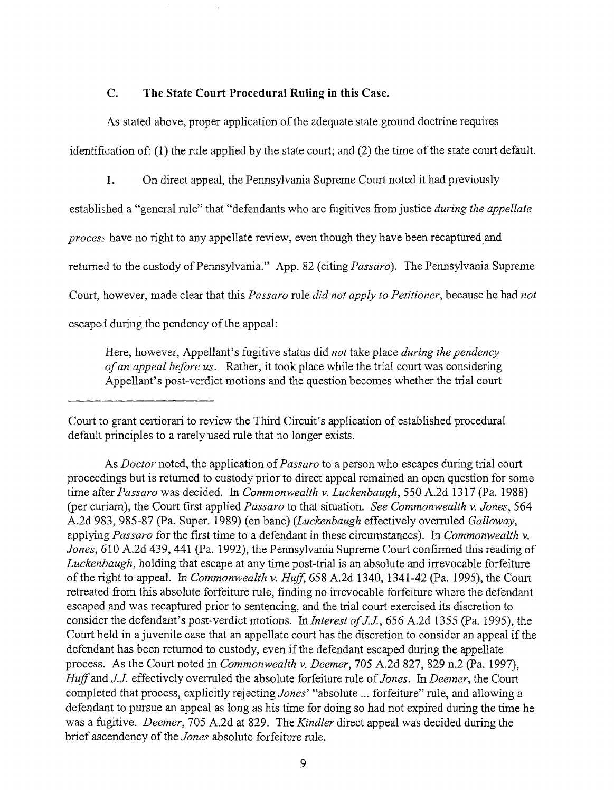### **C. The State Court Procedural Ruling in this Case.**

As stated above, proper application of the adequate state ground doctrine requires identification of: (1) the rule applied by the state court; and (2) the time of the state court default.

I. On direct appeal, the Pennsylvania Supreme Court noted it had previously

established a "general rule" that "defendants who are fugitives from justice *during the appellate*

*process* have no right to any appellate review, even though they have been recaptured and

returned to the custody of Pennsylvania." App. 82 (citing *Passaro).* The Pennsylvania Supreme

Court, however, made clear that this *Passaro* rule *did not apply to Petitioner,* because he had *not*

escaped during the pendency of the appeal:

Here, however, Appellant's fugitive status did *not* take place *during the pendency of an appeal before us.* Rather, it took place while the trial court was considering Appellant's post-verdict motions and the question becomes whether the trial court

Court to grant certiorari to review the Third Circuit's application of estabIished procedural default principles to a rarely used rule that no longer exists.

As *Doctor* noted, the application *of Passaro* to a person who escapes during trial court proceedings but is returned to custody prior to direct appeal remained an open question for some time after Passaro was decided. In *Commonwealth v. Luckenbaugh*, 550 A.2d 1317 (Pa. 1988) (per curiam), the Court first applied *Passaro* to that situation. *See Commonwealth v. Jones,* 564 A.2d 983, 985-87 (Pa. Super. 1989) (en banc) *(Luckenbaugh* effectively overruled *Galloway,* applying *Passaro* for the first time to a defendant in these circumstances). In *Commonwealth v. Jones,* 610 A.2d 439, 441 (Pa. 1992), the Pennsylvania Supreme Court confirmed this reading of *Luckenbaugh,* holding that escape at any time post-trial is an absolute and irrevocable forfeiture of the right to appeal. In *Commonwealth v. Huff,* 658 A.2d 1340, 1341-42 (Pa. 1995), the Court retreated from this absolute forfeiture rule, finding no irrevocable forfeiture where the defendant escaped and was recaptured prior to sentencing, and the trial court exercised its discretion to consider the defendant's post-verdict motions. In *Interest of J.J.,* 656 A.2d 1355 (Pa. 1995), the Court held in a juvenile case that an appellate court has the discretion to consider an appeal if the defendant has been returned to custody, even if the defendant escaped during the appellate process. As the Court noted in *Commonwealth v. Deemer,* 705 A.2d 827, 829 n.2 (Pa. 1997), *Huff and J.J.* effectively overruled the absolute forfeiture rule *of Jones. In Deemer,* the Court completed that process, explicitly rejecting *Jones'* "absolute... forfeiture" *rule,* and allowing a defendant to pursue an appeal as long as his time for doing so had not expired during the time he was a fugitive. *Deemer,* 705 A.2d at 829. The *Kindler* direct appeal was decided during the brief ascendency of the *Jones* absolute forfeiture rule.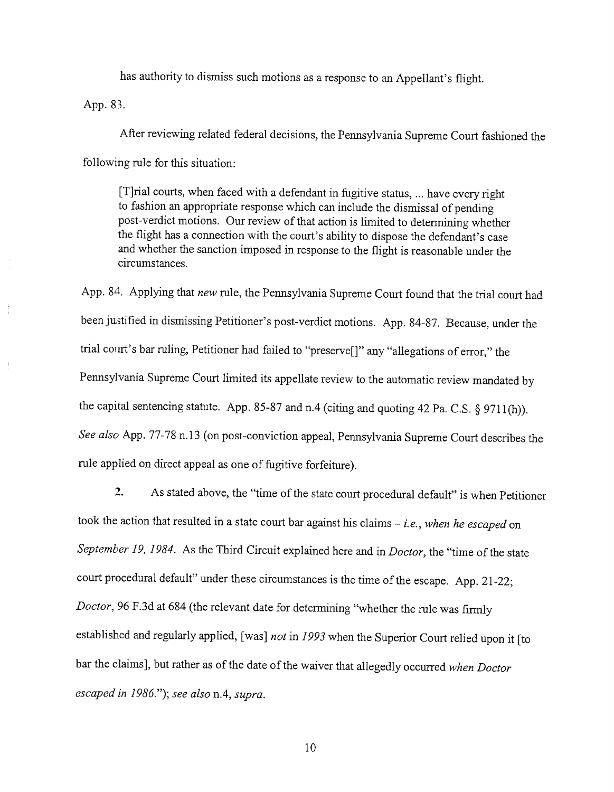has authority to dismiss such motions as a response to an Appellant's flight.

App. 83.

After reviewing related federal decisions, the Pennsylvania Supreme Court fashioned the following rule for this situation:

[T]rial courts, when faced with a defendant in fugitive status, ... have every right to fashion an appropriate response which can include the dismissal of pending post-verdict motions. Our review of that action is limited to determining whether the flight has a connection with the court's ability to dispose the defendant's case and whether the sanction imposed in response to the flight is reasonable under the circumstances.

App. 84. Applying that *new* rule, the Pennsylvania Supreme Court found that the trial court had been justified in dismissing Petitioner's post-verdict motions. App. 84-87. Because, under the trial court's bar ruling, Petitioner had failed to "preserve[]" any "allegations of error," the Pennsylvania Supreme Court limited its appellate review to the automatic review mandated by the capital sentencing statute. App. 85-87 and n.4 (citing and quoting 42 Pa. C.S.  $\S$  9711(h)). *See also* App. 77-78 n. 13 (on post-conviction appeal, Pennsylvania Supreme Court describes the rule applied on direct appeal as one of fugitive forfeiture).

2. As stated above, the "time of the state court procedural default" is when Petitioner took the action that resulted in a state court bar against his claims - *i.e.*, when he escaped on *September 19, 1984.* As the Third Circuit explained here and in *Doctor,* the "time of the state court procedural default" under these circumstances is the time of the escape. App. 21-22; *Doctor*, 96 F.3d at 684 (the relevant date for determining "whether the rule was firmly established and regularly applied, [was] *not* in *1993* when the Superior Court relied upon it [to bar the claims], but rather as of the date of the waiver that allegedly occurred *when Doctor escaped in 1986."); see also* n.4, *supra.*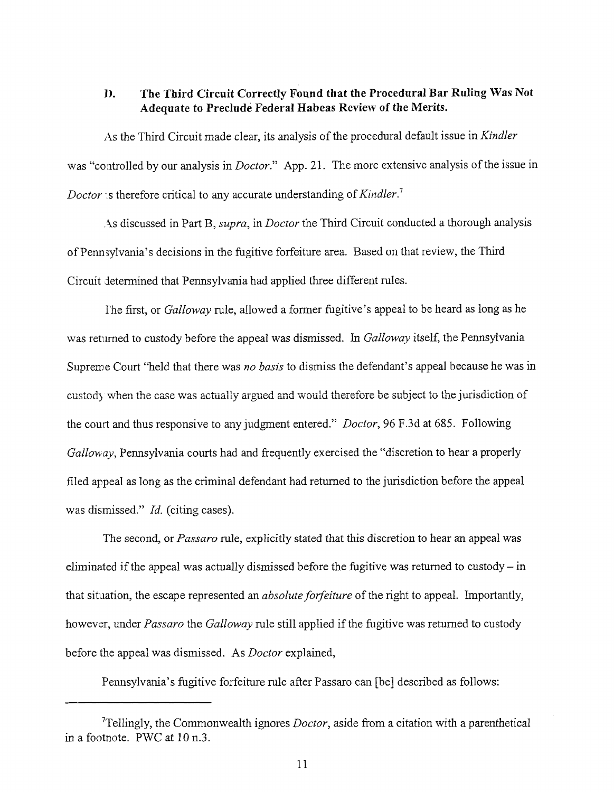### **D. The Third Circuit Correctly Found that the Procedural Bar Ruling Was Not Adequate to Preclude Federal Habeas Review of the Merits.**

As the Third Circuit made clear, its analysis of the procedural default issue in *Kindler* was "controlled by our analysis in *Doctor."* App. 21. The more extensive analysis of the issue in *Doctor* is therefore critical to any accurate understanding of Kindler.<sup>7</sup>

.~.s discussed in Part B, *supra,* in *Doctor* the Third Circuit conducted a thorough analysis of Penn sylvania's decisions in the fugitive forfeiture area. Based on that review, the Third Circuit determined that Pennsylvania had applied three different rules.

Fhe first, or *Galloway* rule, allowed a former fugitive's appeal to be heard as long as he was returned to custody before the appeal was dismissed. In *Galloway* itself, the Pennsylvania Supreme Court "held that there was *no basis* to dismiss the defendant's appeal because he was in custody when the case was actually argued and would therefore be subject to the jurisdiction of the court and thus responsive to any judgment entered." *Doctor*, 96 F.3d at 685. Following *Galloway*, Pennsylvania courts had and frequently exercised the "discretion to hear a properly filed appeal as long as the criminal defendant had returned to the jurisdiction before the appeal was dismissed." *Id.* (citing cases).

The second, or *Passaro* rule, explicitly stated that this discretion to hear an appeal was eliminated if the appeal was actually dismissed before the fugitive was returned to custody- in that situation, the escape represented an *absolute forfeiture* of the right to appeal. Importantly, however, under *Passaro* the *Galloway* rule still applied if the fugitive was returned to custody before the appeal was dismissed. As *Doctor* explained,

Pennsylvania's fugitive forfeiture rule after Passaro can [be] described as follows:

<sup>7</sup>Tellingly, the Commonwealth ignores *Doctor,* aside from a citation with a parenthetical in a footnote. PWC at 10 n.3.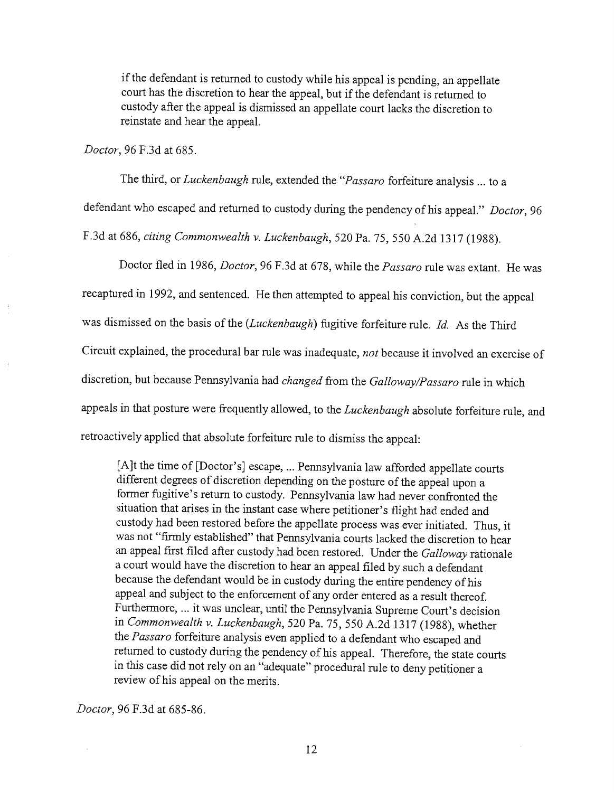if the defendant is returned to custody while his appeal is pending, an appellate court has the discretion to hear the appeal, but if the defendant is returned to custody after the appeal is dismissed an appellate court lacks the discretion to reinstate and hear the appeal.

*Doctor, 96* F.3d at 685.

The third, or *Luckenbaugh* rule, extended the *"Passaro* forfeiture analysis ... to a defendant who escaped and returned to custody during the pendency of his appeal." *Doctor,* 96 F.3d at 686, *citing Commonwealth v. Luckenbaugh,* 520 Pa. 75, 550 A.2d 1317 (1988).

Doctor fled in 1986, *Doctor,* 96 F.3d at 678, while the *Passaro* rule was extant. He was recaptured in 1992, and sentenced. He then attempted to appeal his conviction, but the appeal was dismissed on the basis of the *(Luckenbaugh)* fugitive forfeiture rule. *Id.* As the Third Circuit explained, the procedural bar rule was inadequate, *not* because it involved an exercise of discretion, but because Pennsylvania had *changed* from the *Galloway/Passaro* rule in which appeals in that posture were frequently allowed, to the *Luckenbaugh* absolute forfeiture rule, and retroactively applied that absolute forfeiture rule to dismiss the appeal:

[A]t the time of [Doctor's] escape, ... Pennsylvania law afforded appellate courts different degrees of discretion depending on the posture of the appeal upon a former fugitive's return to custody. Pennsylvania law had never confronted the situation that arises in the instant case where petitioner's flight had ended and custody had been restored before the appellate process was ever initiated. Thus, it was not "firmly established" that Pennsylvania courts lacked the discretion to hear an appeal first filed after custody had been restored. Under the *Galloway* rationale a court would have the discretion to hear an appeal filed by such a defendant because the defendant would be in custody during the entire pendency of his appeal and subject to the enforcement of any order entered as a result thereof. Furthermore, ... it was unclear, until the Pennsylvania Supreme Court's decision in *Commonwealth v. Luckenbaugh,* 520 Pa. 75, 550 A.2d 1317 (1988), whether the *Passaro* forfeiture analysis even applied to a defendant who escaped and returned to custody during the pendency of his appeal. Therefore, the state courts in this case did not rely on an "adequate" procedural rule to deny petitioner a review of his appeal on the merits.

*Doctor,* 96 F.3d at 685-86.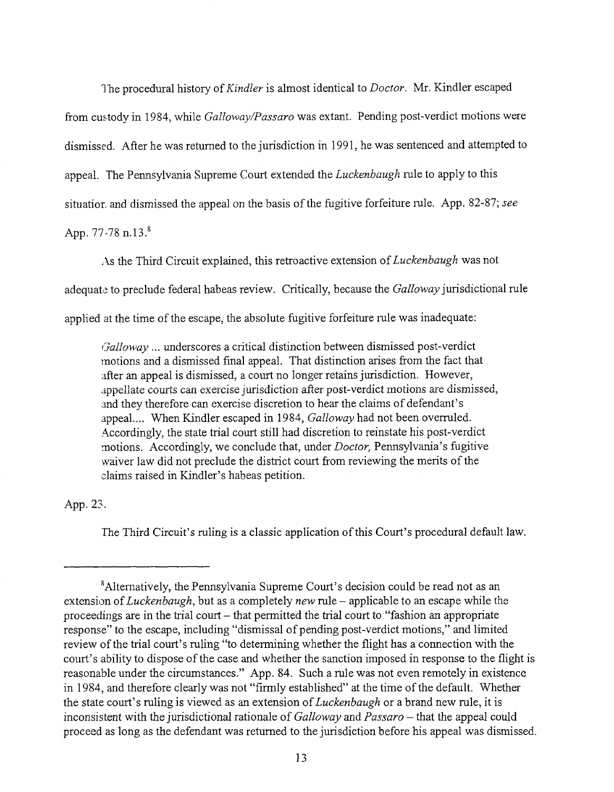The procedural history *of Kindler* is almost identical to *Doctor.* Mr. Kindler escaped from custody in 1984, while *Galloway/Passaro* was extant. Pending post-verdict motions were dismissed. After he was returned to the jurisdiction in *1991,* he was sentenced and attempted to appeal. The Pennsylvania Supreme Court extended the *Luckenbaugh* rule to apply to this situatior, and dismissed the appeal on the basis of the fugitive forfeiture rule. App. 82-87; *see*

App. 77-78 n.13.<sup>8</sup>

As the Third Circuit explained, this retroactive extension *of Luckenbaugh* was not

adequate to preclude federal habeas review. Critically, because the *Galloway* jurisdictional rule

applied at the time of the escape, the absolute fugitive forfeiture rule was inadequate:

*Galloway ...* underscores a critical distinction between dismissed post-verdict motions and a dismissed final appeal. That distinction arises from the fact that after an appeal is dismissed, a court no longer retains jurisdiction. However, appellate courts can exercise jurisdiction after post-verdict motions are dismissed, and they therefore can exercise discretion to hear the claims of defendant's appeal.... When Kindler escaped in 1984, *Galloway* had not been overruled. Accordingly, the state trial court still had discretion to reinstate his post-verdict motions. Accordingly, we conclude that, under *Doctor,* Pennsylvania's fugitive waiver law did not preclude the district court from reviewing the merits of the claims raised in Kindler's habeas petition.

# App. 23.

The Third Circuit's ruling is a classic application of this Court's procedural default law.

<sup>&</sup>lt;sup>8</sup> Alternatively, the Pennsylvania Supreme Court's decision could be read not as an extension *of Luckenbaugh,* but as a completely *new* rule - applicable to an escape while the proceedings are in the trial court – that permitted the trial court to "fashion an appropriate" response" to the escape, including "dismissal of pending post-verdict motions," and limited review of the trial court's ruling "to determining whether the flight has a connection with the court's ability to dispose of the case and whether the sanction imposed in response to the flight is reasonable under the circumstances." App. 84. Such a rule was not even remotely in existence in 1984, and therefore clearly was not "firmly established" at the time of the default. Whether the state court's ruling is viewed as an extension *of Luckenbaugh* or a brand new rule, it is inconsistent with the jurisdictional rationale of *Galloway and Passaro -* that the appeal could proceed as long as the defendant was returned to the jurisdiction before his appeal was dismissed.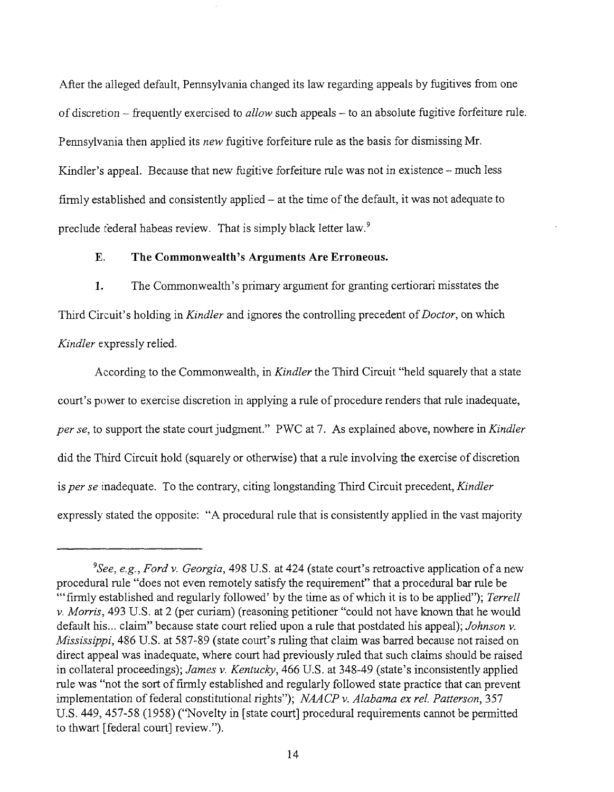After the alleged default, Pennsylvania changed its law regarding appeals by fugitives from one of discretion - frequently exercised to *allow* such appeals - to an absolute fugitive forfeiture rule. Pennsylvania then applied its *new* fugitive forfeiture rule as the basis for dismissing Mr. Kindler's appeal. Because that new fugitive forfeiture rule was not in existence – much less firmly established and consistently applied – at the time of the default, it was not adequate to preclude federal habeas review. That is simply black letter law.9

### **E. The Commonwealth's Arguments Are Erroneous.**

1. The Commonwealth's primary argument for granting certiorari misstates the Third Circuit's holding in *Kindler* and ignores the controlling precedent *of Doctor,* on which *Kindler* expressly relied.

According to the Commonwealth, in *Kindler* the Third Circuit "held squarely that a state court's power to exercise discretion in applying a rule of procedure renders that rule inadequate, *per se,* to support the state court judgment." PWC at 7. As explained above, nowhere in *Kindler* did the Third Circuit hold (squarely or otherwise) that a rule involving the exercise of discretion is *per se* inadequate. To the contrary, citing longstanding Third Circuit precedent, *Kindler* expressly stated the opposite: "A procedural rule that is consistently applied in the vast majority

*<sup>9</sup>See, e.g., Ford v. Georgia,* 498 U.S. at 424 (state court's retroactive application of a new procedural rule "does not even remotely satisfy the requirement" that a procedural bar rule be "'firmly established and regularly followed' by the time as of which it is to be applied"); *Terrell v. Morris,* 493 U.S. at 2 (per curiam) (reasoning petitioner "could not have known that he would default his.., claim" because state court relied upon a rule that postdated his appeal); *Johnson v. Mississippi,* 486 U.S. at 587-89 (state court's ruling that claim was barred because not raised on direct appeal was inadequate, where court had previously ruled that such claims should be raised in collateral proceedings); *James v. Kentucky,* 466 U.S. at 348-49 (state's inconsistently applied rule was "not the sort of firmly established and regularly followed state practice that can prevent implementation of federal constitutional rights"); *NAACP v. Alabama ex rel. Patterson,* 357 U.S. 449, 457-58 (1958) ("Novelty in [state court] procedural requirements cannot be permitted to thwart [federal court] review.").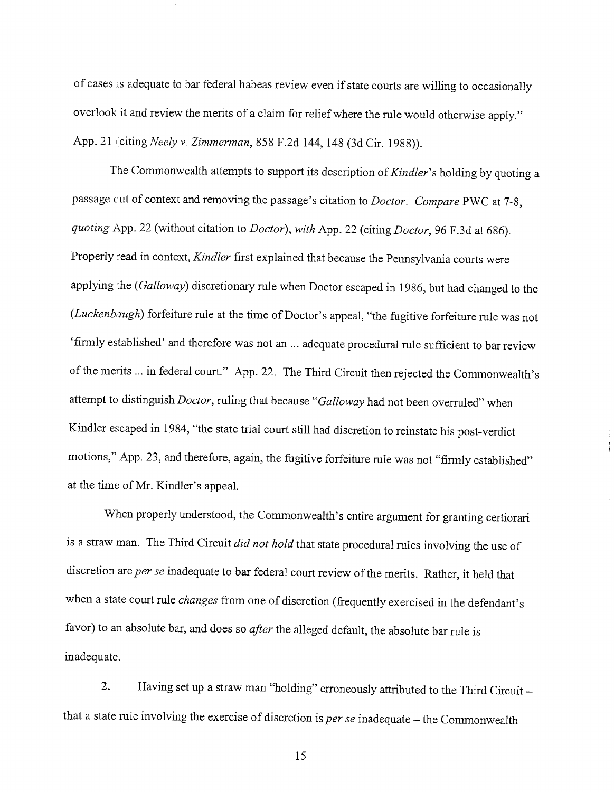of cases is adequate to bar federal habeas review even if state courts are willing to occasionally overlook it and review the merits of a claim for relief where the rule would otherwise apply." App. 21 (citing *Neely v. Zimmerman,* 858 F.2d 144, 148 (3d Cir. 1988)).

The Commonwealth attempts to support its description *of Kindler's* holding by quoting a passage cut of context and removing the passage's citation to *Doctor. Compare* PWC at 7-8, *quoting* App. 22 (without citation to *Doctor), with* App. 22 (citing *Doctor,* 96 F.3d at 686). Properly read in context, *Kindler* first explained that because the Pennsylvania courts were applying the *(Galloway)* discretionary rule when Doctor escaped in 1986, but had changed to the *(Luckenbaugh)* forfeiture rule at the time of Doctor's appeal, "the fugitive forfeiture rule was not 'firmly established' and therefore was not an ... adequate procedural rule sufficient to bar review of the merits ... in federal court." App. 22. The Third Circuit then rejected the Commonwealth's attempt to distinguish *Doctor,* ruling that because *"Galloway* had not been overruled" when Kindler escaped in 1984, "the state trial court still had discretion to reinstate his post-verdict motions," App. 23, and therefore, again, the fugitive forfeiture rule was not "firmly established" at the time of Mr. Kindler's appeal.

When properly understood, the Commonwealth's entire argument for granting certiorari is a straw man. The Third Circuit *did not hold* that state procedural rules involving the use of discretion are per se inadequate to bar federal court review of the merits. Rather, it held that when a state court rule *changes* from one of discretion (frequently exercised in the defendant's favor) to an absolute bar, and does so *after* the alleged default, the absolute bar rule is inadequate.

2. Having set up a straw man "holding" erroneously attributed to the Third Circuit that a state rule involving the exercise of discretion is *per se* inadequate - the Commonwealth

15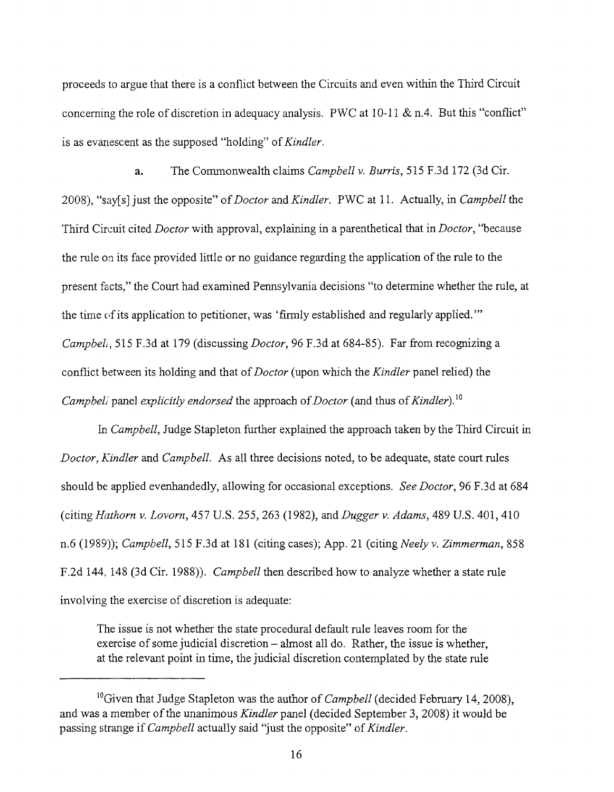proceeds to argue that there is a conflict between the Circuits and even within the Third Circuit concerning the role of discretion in adequacy analysis. PWC at 10-11 & n.4. But this "conflict" is as evanescent as the supposed "holding" *of Kindler.*

a. The Commonwealth claims *Campbell v. Burris,* 515 F.3d 172 (3d Cir. 2008), "say[s] just the opposite" *of Doctor and Kindler.* PWC at 11. Actually, in *Campbell* the Third Circuit cited *Doctor* with approval, explaining in a parenthetical that in *Doctor,* "because the rule on its face provided little or no guidance regarding the application of the rule to the present facts," the Court had examined Pennsylvania decisions "to determine whether the rule, at the time of its application to petitioner, was 'firmly established and regularly applied.'" *Campbeli,* 515 F.3d at 179 (discussing *Doctor,* 96 F.3d at 684-85). Far from recognizing a conflict between its holding and that *of Doctor* (upon which the *Kindler* panel relied) the *Campbell"* panel *explicitly endorsed* the approach *of Doctor* (and thus *of Kindler).1°*

*In Campbell,* Judge Stapleton further explained the approach taken by the Third Circuit in *Doctor, Kindler* and *Campbell.* As all three decisions noted, to be adequate, state court rules should be applied evenhandedly, allowing for occasional exceptions. *See Doctor,* 96 F.3d at 684 *(citing Hathorn v. Lovorn, 457 U.S. 255, 263 (1982), and Dugger v. Adams, 489 U.S. 401, 410* n.6 (1989)); *Campbell,* 515 F.3d at 181 (citing cases); App. 21 (citing *Neely v. Zimmerman,* 858 F.2d 144, 148 (3d Cir. 1988)). *Campbell* then described how to analyze whether a state rule involving the exercise of discretion is adequate:

The issue is not whether the state procedural default rule leaves room for the exercise of some judicial discretion – almost all do. Rather, the issue is whether, at the relevant point in time, the judicial discretion contemplated by the state rule

<sup>&</sup>lt;sup>10</sup>Given that Judge Stapleton was the author of *Campbell* (decided February 14, 2008), and was a member of the unanimous *Kindler* panel (decided September 3, 2008) it would be passing strange if *Campbell* actually said "just the opposite" *of Kindler.*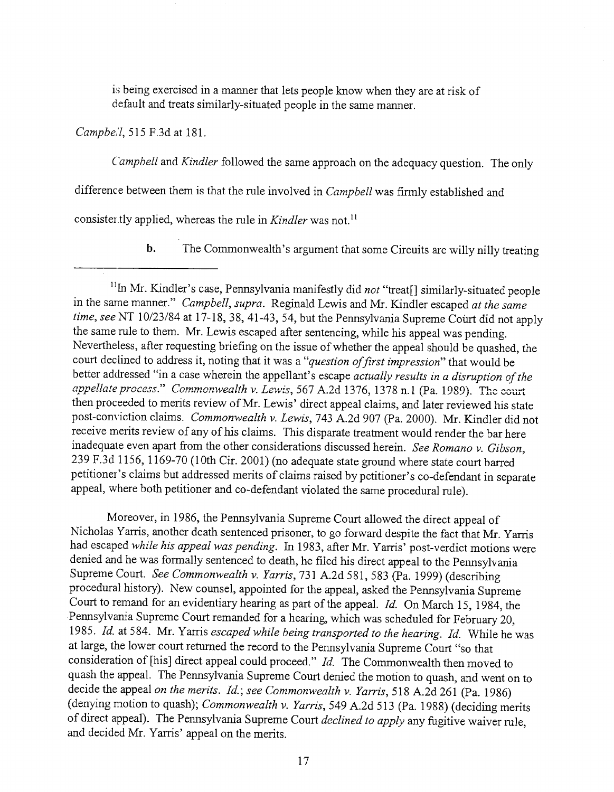is being exercised in a manner that lets people know when they are at risk of default and treats similarly-situated people in the same manner.

*Campbell,* 515 F.3d at 181.

*Campbell* and *Kindler* followed the same approach on the adequacy question. The only

difference between them is that the rule involved in *Campbell* was firmly established and

consister.tly applied, whereas the rule in *Kindler* was not.<sup>11</sup>

b. The Commonwealth's argument that some Circuits are willy nilly treating

Moreover, in 1986, the Pennsylvania Supreme Court allowed the direct appeal of Nicholas Yarris, another death sentenced prisoner, to go forward despite the fact that Mr. Yarris had escaped *while his appeal was pending.* In 1983, after Mr. Yarris' post-verdict motions were denied and he was formally sentenced to death, he filed his direct appeal to the Pennsylvania Supreme Court. *See Commonwealth v. Yarris,* 731 A.2d 581,583 (Pa. 1999) (describing procedural history). New counsel, appointed for the appeal, asked the Pennsylvania Supreme Court to remand for an evidentiary hearing as part of the appeal. *Id.* On March 15, 1984, the Pennsylvania Supreme Court remanded for a hearing, which was scheduled for February 20, 1985. *Id.* at 584. Mr. Yarris *escaped while being transported to the hearing. Id.* While he was at large, the lower court returned the record to the Pennsylvania Supreme Court "so that consideration of [his] direct appeal could proceed." *Id.* The Commonwealth then moved to quash the appeal. The Pennsylvania Supreme Court denied the motion to quash, and went on to decide the appeal *on the merits. Id.; see Commonwealth v. Yarris,* 518 A.2d 261 (Pa. 1986) (denying motion to quash); *Commonwealth v. Yarris,* 549 A.2d 513 (Pa. 1988) (deciding merits of direct appeal). The Pennsylvania Supreme Court *declined to apply* any fugitive waiver rule, and decided Mr. Yarris' appeal on the merits.

<sup>&</sup>lt;sup>11</sup>In Mr. Kindler's case, Pennsylvania manifestly did not "treat[] similarly-situated people in the same manner." *Campbell, supra.* Reginald Lewis and Mr. Kindler escaped *at the same time, see* NT 10/23/84 at 17-18, 38, 41-43, 54, but the Pennsylvania Supreme Court did not apply the same rule to them. Mr. Lewis escaped after sentencing, while his appeal was pending. Nevertheless, after requesting briefing on the issue of whether the appeal should be quashed, the court declined to address it, noting that it was a "*question of first impression*" that would be better addressed "in a case wherein the appellant's escape *actually results in a disruption of the* appellate process." Commonwealth v. Lewis, 567 A.2d 1376, 1378 n.1 (Pa. 1989). The court then proceeded to merits review of Mr. Lewis' direct appeal claims, and later reviewed his state post-conviction claims. *Commonwealth v. Lewis,* 743 A.2d 907 (Pa. 2000). Mr. Kindler did not receive merits review of any of his claims. This disparate treatment would render the bar here inadequate even apart from the other considerations discussed herein. *See Romano v. Gibson,* 239 F.3d 1156, 1169-70 (10th Cir. 2001) (no adequate state ground where state court barred petitioner's claims but addressed merits of claims raised by petitioner's co-defendant in separate appeal, where both petitioner and co-defendant violated the same procedural rule).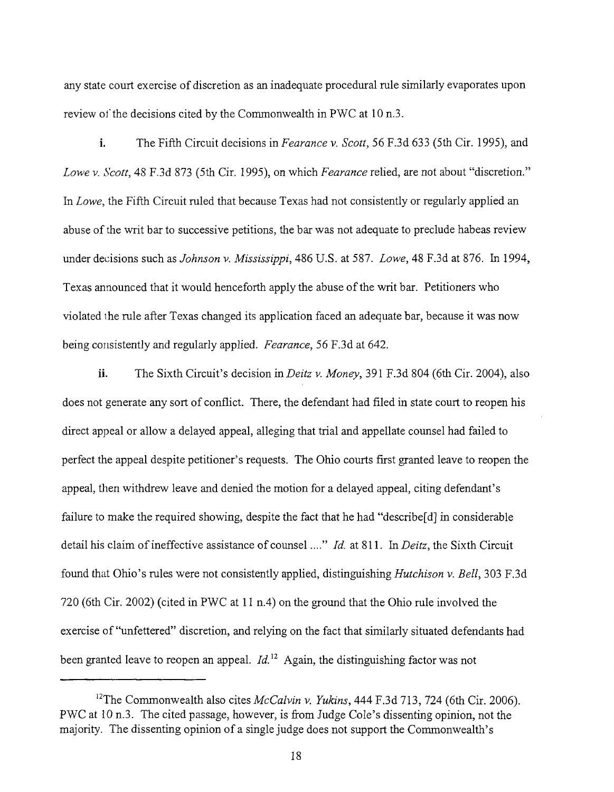any state court exercise of discretion as an inadequate procedural rule similarly evaporates upon review of the decisions cited by the Commonwealth in PWC at 10 n.3.

i. The Fifth Circuit decisions in *Fearance v. Scott,* 56 F.3d 633 (5th Cir. 1995), and *Lowev. Scott,* 48 F.3d 873 (5th Cir. 1995), on which *Fearance* relied, are not about "discretion." *In Lowe,* the Fifth Circuit ruled that because Texas had not consistently or regularly applied an abuse of the writ bar to successive petitions, the bar was not adequate to preclude habeas review under decisions such as *Johnson v. Mississippi,* 486 U.S. at 587. *Lowe,* 48 F.3d at 876. In 1994, Texas announced that it would henceforth apply the abuse of the writ bar. Petitioners who violated the rule after Texas changed its application faced an adequate bar, because it was now being consistently and regularly applied. *Fearance, 56* F.3d at 642.

ii. The Sixth Circuit's decision in *Deitz v. Money,* 391 F.3d 804 (6th Cir. 2004), also does not generate any sort of conflict. There, the defendant had filed in state court to reopen his direct appeal or allow a delayed appeal, alleging that trial and appellate counsel had failed to perfect the appeal despite petitioner's requests. The Ohio courts first granted leave to reopen the appeal, then withdrew leave and denied the motion for a delayed appeal, citing defendant's failure to make the required showing, despite the fact that he had "describe[d] in considerable detail his claim of ineffective assistance of counsel ...." *Id.* at 811. In *Deitz*, the Sixth Circuit found that Ohio's rules were not consistently applied, distinguishing *Hutchison v. Bell,* 303 F.3d 720 (6th Cir. 2002) (cited in PWC at 11 n.4) on the ground that the Ohio rule involved the exercise of "unfettered" discretion, and relying on the fact that similarly situated defendants had been granted leave to reopen an appeal. *Id*.<sup>12</sup> Again, the distinguishing factor was not

<sup>&</sup>lt;sup>12</sup>The Commonwealth also cites *McCalvin v. Yukins*, 444 F.3d 713, 724 (6th Cir. 2006). PWC at 10 n.3. The cited passage, however, is from Judge Cole's dissenting opinion, not the majority. The dissenting opinion of a single judge does not support the Commonwealth's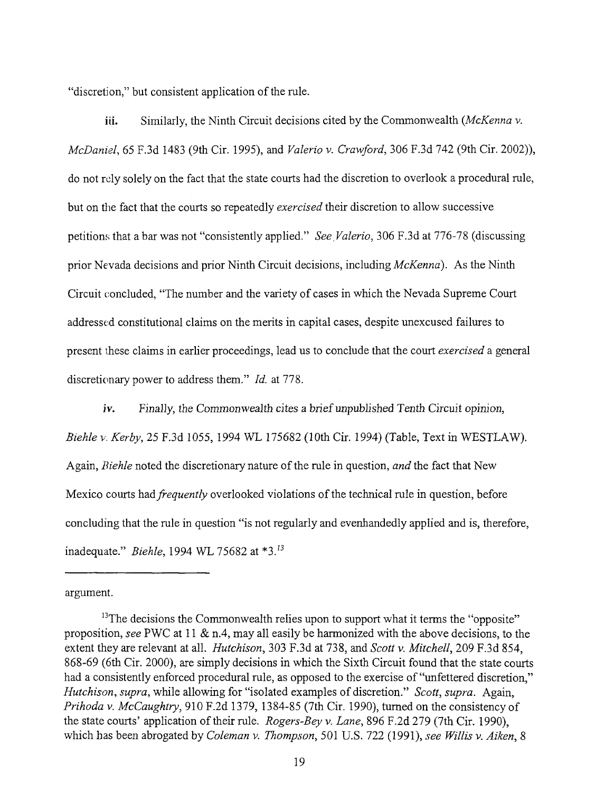"discretion," but consistent application of the rule.

iii. Similarly, the Ninth Circuit decisions cited by the Commonwealth *(McKenna v. McDaniel, 65 F.3d 1483 (9th Cir. 1995), and <i>Valerio v. Crawford, 306 F.3d 742 (9th Cir. 2002)),* do not rely solely on the fact that the state courts had the discretion to overlook a procedural rule, but on the fact that the courts so repeatedly *exercised* their discretion to allow successive petitions that a bar was not "consistently applied." *See.Valerio,* 306 F.3d at 776-78 (discussing prior Nevada decisions and prior Ninth Circuit decisions, including *McKenna).* As the Ninth Circuit concluded, "The number and the variety of cases in which the Nevada Supreme Court addressed constitutional claims on the merits in capital cases, despite unexcused failures to present these claims in earlier proceedings, lead us to conclude that the court *exercised* a general discretionary power to address them." *Id.* at 778.

iv. Finally, the Commonwealth cites a brief unpublished Tenth Circuit opinion, *Biehle ~,. Kerby, 25* F.3d 1055, *1994 WL* 175682 (10th Cir. 1994) (Table, Text in WESTLAW). Again, *Biehle* noted the discretionary nature of the rule in question, *and* the fact that New Mexico courts *had frequently* overlooked violations of the technical rule in question, before concluding that the rule in question "is not regularly and evenhandedly applied and is, therefore, inadequate." *Biehle*, 1994 WL 75682 at \*3.<sup>13</sup>

argument.

 $13$ <sup>13</sup>The decisions the Commonwealth relies upon to support what it terms the "opposite" proposition, *see* PWC at 11 & n.4, may all easily be harmonized with the above decisions, to the extent they are relevant at all. *Hutchison,* 303 F.3d at 738, and *Scott v. Mitchell,* 209 F.3d 854, 868-69 (6th Cir. 2000), are simply decisions in which the Sixth Circuit found that the state courts had a consistently enforced procedural rule, as opposed to the exercise of "unfettered discretion," *Hutchison, supra,* while allowing for "isolated examples of discretion." *Scott, supra.* Again, *Prihoda v. McCaughtry,* 910 F.2d 1379, 1384-85 (7th Cir. 1990), turned on the consistency of the state courts' application of their rule. *Rogers-Bey v. Lane,* 896 F.2d 279 (7th Cir. 1990), which has been abrogated by *Coleman v. Thompson,* 501 U.S. 722 (1991), *see Willis v. Aiken, 8*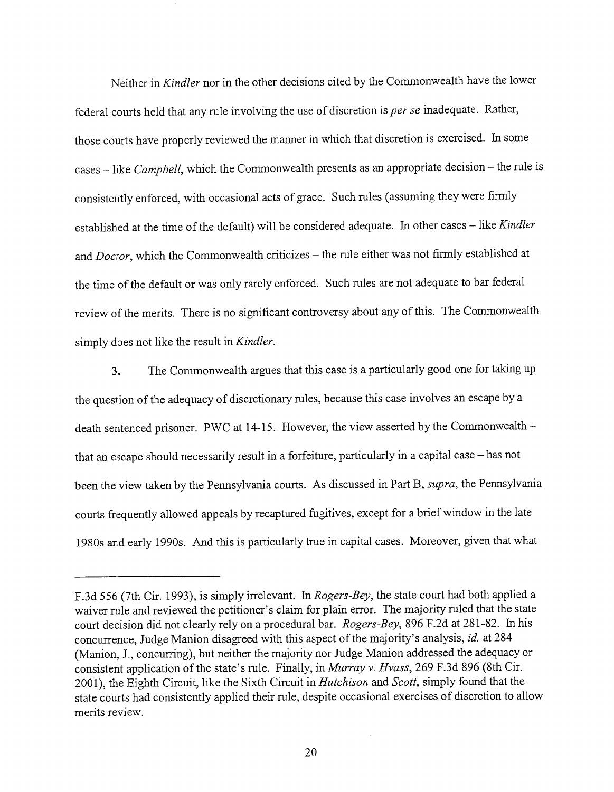Neither in *Kindler* nor in the other decisions cited by the Commonwealth have the lower federal courts held that any rule involving the use of discretion is *per se* inadequate. Rather, those courts have properly reviewed the manner in which that discretion is exercised. In some cases - like *Campbell*, which the Commonwealth presents as an appropriate decision - the rule is consistently enforced, with occasional acts of grace. Such rules (assuming they were firmly established at the time of the default) will be considered adequate. In other cases - like *Kindler* and *Doctor*, which the Commonwealth criticizes – the rule either was not firmly established at the time of the default or was only rarely enforced. Such rules are not adequate to bar federal review of the merits. There is no significant controversy about any of this. The Commonwealth simply does not like the result in *Kindler.*

3. The Commonwealth argues that this case is a particularly good one for taking up the question of the adequacy of discretionary rules, because this case involves an escape by a death sentenced prisoner. PWC at 14-15. However, the view asserted by the Commonwealththat an escape should necessarily result in a forfeiture, particularly in a capital case – has not been the view taken by the Pennsylvania courts. As discussed in Part B, *supra,* the Pennsylvania courts frequently allowed appeals by recaptured fugitives, except for a brief window in the late 1980s and early 1990s. And this is particularly true in capital cases. Moreover, given that what

F.3d 556 (7th Cir. 1993), is simply irrelevant. In *Rogers-Bey,* the state court had both applied a waiver rule and reviewed the petitioner's claim for plain error. The majority ruled that the state court decision did not clearly rely on a procedural bar. *Rogers-Bey,* 896 F.2d at 281-82. In his concurrence, Judge Manion disagreed with this aspect of the majority's analysis, *id.* at 284 (Manion, J., concurring), but neither the majority nor Judge Manion addressed the adequacy or consistent application of the state's rule. Finally, *inMurray v. Hvass,* 269 F.3d 896 (8th Cir. 2001), the Eighth Circuit, like the Sixth Circuit in *Hutchison and Scott,* simply found that the state courts had consistently applied their rule, despite occasional exercises of discretion to allow merits review.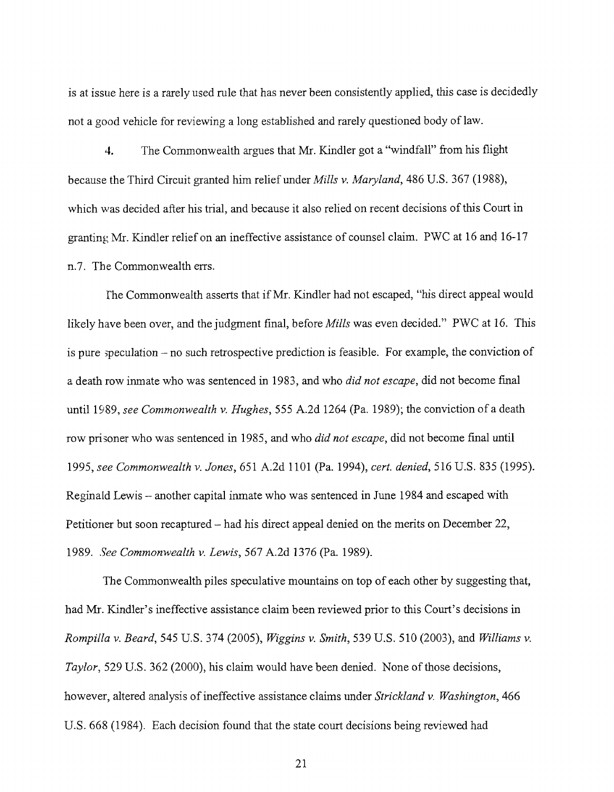is at issue here is a rarely used rule that has never been consistently applied, this case is decidedly not a good vehicle for reviewing a long established and rarely questioned body of law.

4. The Commonwealth argues that Mr. Kindler got a "windfall" from his flight because the Third Circuit granted him relief under *Mills v. Maryland,* 486 U.S. 367 (1988), which was decided after his trial, and because it also relied on recent decisions of this Court in granting Mr. Kindler relief on an ineffective assistance of counsel claim. PWC at 16 and 16-17 n.7. The Commonwealth errs.

I'he Commonwealth asserts that if Mr. Kindler had not escaped, "his direct appeal would likely have been over, and the judgment final, before *Mills* was even decided." PWC at 16. This is pure speculation – no such retrospective prediction is feasible. For example, the conviction of a death row inmate who was sentenced in 1983, and who *did not escape,* did not become final until 1989, *see Commonwealth v. Hughes,* 555 A.2d 1264 (Pa. 1989); the conviction of a death row prisoner who was sentenced in 1985, and who *did not escape,* did not become final until 1995, *see Commonwealth v. Jones,* 651 A.2d 1101 (Pa. 1994), *cert. denied,* 516 U.S. 835 (1995). Reginald Lewis - another capital inmate who was sentenced in June 1984 and escaped with Petitioner but soon recaptured – had his direct appeal denied on the merits on December 22, 1989..fee *Commonwealth v. Lewis, 567* A.2d 1376 (Pa. 1989).

The Commonwealth piles speculative mountains on top of each other by suggesting that, had Mr. Kindler's ineffective assistance claim been reviewed prior to this Court's decisions in *Rompilla v. Beard,* 545 U.S. 374 (2005), *Wiggins v. Smith,* 539 U.S. 510 (2003), and *Williams v. Taylor,* 529 U.S. 362 (2000), his claim would have been denied. None of those decisions, however, altered analysis of ineffective assistance claims under *Strickland v. Washington,* 466 U.S. 668 (1984). Each decision found that the state court decisions being reviewed had

21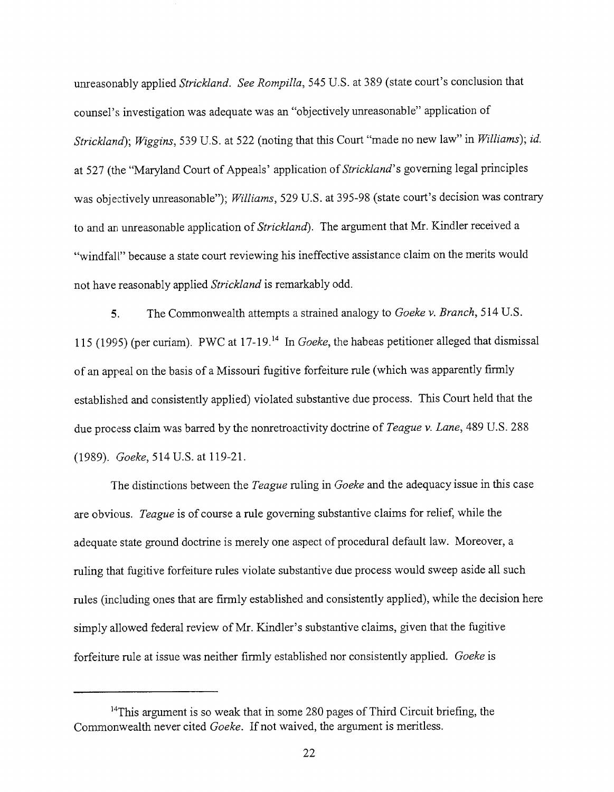unreasonably applied *Strickland. See Rompilla,* 545 U.S. at 389 (state court's conclusion that counsel's investigation was adequate was an "objectively unreasonable" application of *Strickland); Wiggins,* 539 U.S. at 522 (noting that this Court "made no new law" in *Williams); id.* at 527 (the "Maryland Court of Appeals' application *of Strickland's* governing legal principles was objectively unreasonable"); *Williams,* 529 U.S. at 395-98 (state court's decision was contrary to and an unreasonable application of *Strickland).* The argument that Mr. Kindler received a "windfall" because a state court reviewing his ineffective assistance claim on the merits would not have reasonably applied *Strickland* is remarkably odd.

5. The Commonwealth attempts a strained analogy to *Goeke v. Branch,* 514 U.S. 115 (1995) (per curiam). PWC at 17-19.<sup>14</sup> In *Goeke*, the habeas petitioner alleged that dismissal of an appeal on the basis of a Missouri fugitive forfeiture rule (which was apparently firmly established and consistently applied) violated substantive due process. This Court held that the due process claim was barred by the nonretroactivity doctrine of *Teague v. Lane,* 489 U.S. 288 (1989). *Goeke,* 514U.S. at 119-21.

3-he distinctions between the *Teague* ruling in *Goeke* and the adequacy issue in this case are obvious. *Teague* is of course a rule governing substantive claims for relief, while the adequate state ground doctrine is merely one aspect of procedural default law. Moreover, a ruling that fugitive forfeiture rules violate substantive due process would sweep aside all such rules (including ones that are firmly established and consistently applied), while the decision here simply allowed federal review of Mr. Kindler's substantive claims, given that the fugitive forfeiture rule at issue was neither firmly established nor consistently applied. *Goeke* is

<sup>&</sup>lt;sup>14</sup>This argument is so weak that in some 280 pages of Third Circuit briefing, the Commonwealth never cited *Goeke.* If not waived, the argument is meritless.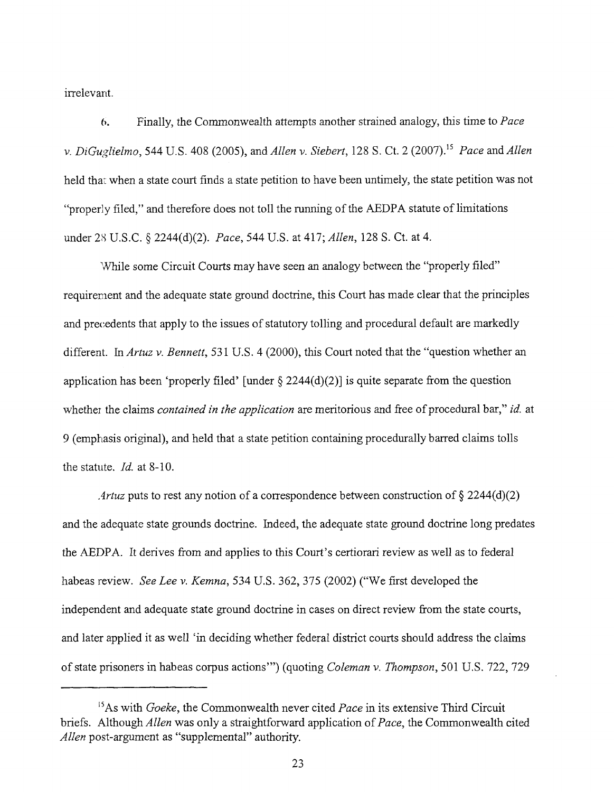irrelevant.

6. Finally, the Commonwealth attempts another strained analogy, this time to *Pace v. DiGuglielmo,* 544 U.S. 408 (2005), and *Allen v. Siebert*, 128 S. Ct. 2 (2007).<sup>15</sup> *Pace and Allen* held tha: when a state court finds a state petition to have been untimely, the state petition was not "properly filed," and therefore does not toil the running of the AEDPA statute of limitations under 28 U.S.C. § 2244(d)(2). *Pace,* 544 U.S. at 417; *Allen,* 128 S. Ct. at 4.

While some Circuit Courts may have seen an analogy between the "properly filed" requirement and the adequate state ground doctrine, this Court has made clear that the principles and precedents that apply to the issues of statutory tolling and procedural default are markedly different. In *Artuz v. Bennett,* 531 U.S. 4 (2000), this Court noted that the "question whether an application has been 'properly filed' [under  $\S 2244(d)(2)$ ] is quite separate from the question whether the claims *contained in the application* are meritorious and free of procedural bar," id. at 9 (emphasis original), and held that a state petition containing procedurally barred claims tolls the statute, *ld.* at 8-10.

*Artuz* puts to rest any notion of a correspondence between construction of § 2244(d)(2) and the adequate state grounds doctrine. Indeed, the adequate state ground doctrine long predates the AEDPA. It derives from and applies to this Court's certiorari review as well as to federal habeas review. *See Lee v. Kemna,* 534 U.S. 362, 375 (2002) ("We first developed the independent and adequate state ground doctrine in cases on direct review from the state courts, and later applied it as well 'in deciding whether federal district courts should address the claims of state prisoners in habeas corpus actions'") (quoting *Coleman v. Thompson,* 501 U.S. 722, 729

<sup>&</sup>lt;sup>15</sup>As with *Goeke*, the Commonwealth never cited *Pace* in its extensive Third Circuit briefs. Although *Allen* was only a straightforward application *of Pace,* the Commonwealth cited *Allen* post-argument as "supplemental" authority.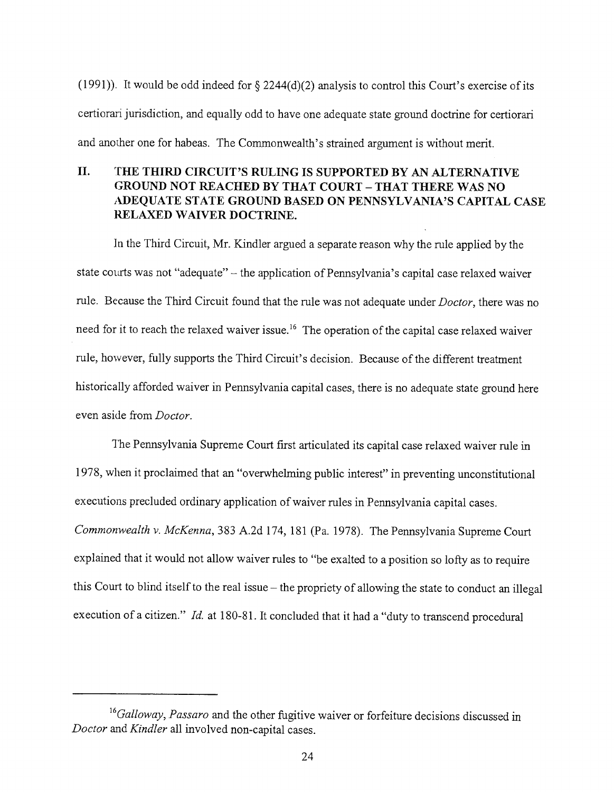(1991)). It would be odd indeed for  $\S$  2244(d)(2) analysis to control this Court's exercise of its certiorari jurisdiction, and equally odd to have one adequate state ground doctrine for certiorari and another one for habeas. The Commonwealth's strained argument is without merit.

## **II. THE THIRD CIRCUIT'S RULING IS SUPPORTED BY** AN ALTERNATIVE GROUND NOT REACHED BY THAT **COURT -** THAT THERE WAS NO ADEQUATE STATE GROUND BASED ON PENNSYLVANIA'S CAPITAL CASE RELAXED WAIVER DOCTRINE.

In the Third Circuit, Mr. Kindler argued a separate reason why the rule applied by the state courts was not "adequate" - the application of Pennsylvania's capital case relaxed waiver rule. Because the Third Circuit found that the rule was not adequate under *Doctor,* there was no need for it to reach the relaxed waiver issue.<sup>16</sup> The operation of the capital case relaxed waiver rule, however, fully supports the Third Circuit's decision. Because of the different treatment historically afforded waiver in Pennsylvania capital cases, there is no adequate state ground here even aside from *Doctor.*

The Pennsylvania Supreme Court first articulated its capital case relaxed waiver rule in 1978, when it proclaimed that an "overwhelming public interest" in preventing unconstitutional executions precluded ordinary application of waiver rules in Pennsylvania capital cases. *Commonwealth v. McKenna,* 383 A.2d 174, 181 (Pa. 1978). The Pennsylvania Supreme Court explained that it would not allow waiver rules to "be exalted to a position so lofty as to require this Court to blind itself to the real issue – the propriety of allowing the state to conduct an illegal execution of a citizen." *Id.* at 180-81. It concluded that it had a *"duty* to transcend procedural

*<sup>16</sup>Galloway, Passaro* and the other fugitive waiver or forfeiture decisions discussed in *Doctor and Kindler* all involved non-capital cases.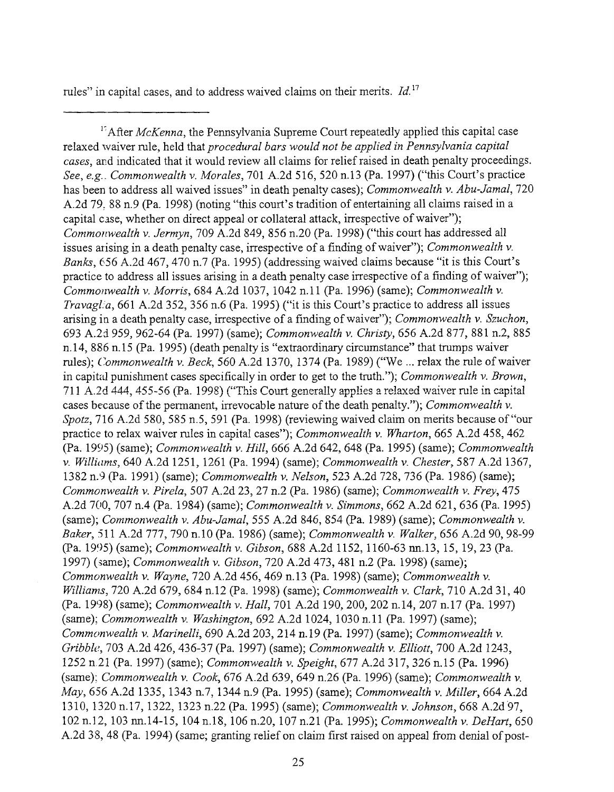rules" in capital cases, and to address waived claims on their merits. *Id. 17*

<sup>17</sup> After *McKenna*, the Pennsylvania Supreme Court repeatedly applied this capital case relaxed waiver rule, held that *procedural bars would not be applied in Pennsylvania capital cases,* and indicated that it would review all claims for relief raised in death penalty proceedings. *See, e.g.. Commonwealth v. Morales,* 701 A.2d 516, 520 n.13 (Pa. 1997) ("this Court's practice has been to address all waived issues" in death penalty cases); *Commonwealth v. Abu-Jamal,* 720 A.2d 79, 88 n.9 (Pa. 1998) (noting "this court's tradition of entertaining all claims raised in a capital case, whether on direct appeal or collateral attack, irrespective of waiver"); *Commot~wealth v. Jermyn,* 709 A.2d 849, 856 n.20 (Pa. 1998) ("this court has addressed all issues arising in a death penalty case, irrespective of a finding of waiver"); *Commonwealth v. Banks,* 656 A.2d 467, 470 n.7 (Pa. 1995) (addressing waived claims because "it is this Court's practice to address all issues arising in a death penalty case irrespective of a finding of waiver"); *Commonwealth v. Morris,* 684 A.2d 1037, 1042 n.11 (Pa. 1996) (same); *Commonwealth v. TravagL!a,* 661 A.2d 352, 356 n.6 (Pa. 1995) ("it is this Court's practice to address all issues arising in a death penalty case, irrespective of a finding of waiver"); *Commonwealth v. Szuchon,* 693 A.2cl *959,* 962-64 (Pa. 1997) (same); *Commonwealth v. Christy,* 656 A.2d 877, 881 n.2, 885 n. 14, 886 n. 15 (Pa. 1995) (death penalty is "extraordinary circumstance" that trumps waiver rules); *Commonwealth v. Beck*, 560 A.2d 1370, 1374 (Pa. 1989) ("We ... relax the rule of waiver in capital punishment cases specifically in order to get to the truth."); *Commonwealth v. Brown,* 711 A.2d 444, 455-56 (Pa. 1998) ("This Court generally applies a relaxed waiver rule in capital cases because of the permanent, irrevocable nature of the death penalty."); *Commonwealth v. Spotz*, 716 A.2d 580, 585 n.5, 591 (Pa. 1998) (reviewing waived claim on merits because of "our practice to relax waiver rules in capital cases"); *Commonwealth v. Wharton,* 665 A.2d 458,462 (Pa. 1995) (same); *Commonwealth v. Hill,* 666 A.2d 642, 648 (Pa. 1995) (same); *Commonwealth v. Williams,* 640 A.2d 1251, 1261 (Pa. 1994) (same); *Commonwealth v. Chester,* 587 A.2d 1367, 1382 n.9 (Pa. 1991) (same); *Commonwealth v. Nelson,* 523 A.2d 728, 736 (Pa. 1986) (same); *Commonwealth v. Pirela,* 507 A.2d 23, 27 n.2 (Pa. 1986) (same); *Commonwealth v. Frey,* 475 A.2d 700, 707 n.4 (Pa. 1984) (same); *Commonwealth v. Simmons,* 662 A.2d 621,636 (Pa. 1995) (same); *Commonwealth v. Abu-Jamal,* 555 A.2d 846, 854 (Pa. 1989) (same); *Commonwealth Baker,* 511 A.2d 777, 790 n.10 (Pa. 1986) (same); *Commonwealth v. Walker,* 656 A.2d 90, *98-99* (Pa. 1995) (same); *Commonwealth v. Gibson,* 688 A.2d 1152, 1160-63 nn.13, 15, 19, 23 (Pa. 1997) (same); *Commonwealth v. Gibson,* 720 A.2d 473,481 n.2 (Pa. 1998) (same); *Commonwealth v. Wayne,* 720 A.2d 456, 469 n.13 (Pa. 1998) (same); *Commonwealth v. Williams,* 720 A.2d 679, 684 n.12 (Pa. 1998) (same); *Commonwealth v. Clark,* 710 A.2d 31, 40 (Pa. 1998) (same); *Commonwealth v. Hall,* 701 A.2d 190, 200, 202 n.14, 207 n.17 (Pa. 1997) (same); *Commonwealth v. Washington,* 692 A.2d 1024, 1030 n.ll (Pa. 1997)(same); *Commonwealth v. Marinelli,* 690 A.2d 203,214 n.19 (Pa. 1997) (same); *Commonwealth v. Gribble,* 703 A.2d 426, 436-37 (Pa. 1997) (same); *Commonwealth v. Elliott,* 700 A.2d 1243, 1252 n.21 (Pa. 1997) (same); *Commonwealth v. Speight,* 677 A.2d 317, 326 n.15 (Pa. 1996) (same); *Commonwealth v. Cook,* 676 A.2d 639, 649 n.26 (Pa. 1996) (same); *Commonwealth v. May,* 656 A.2d 1335, 1343 n.7, 1344 n.9 (Pa. 1995) (same); *Commonwealth v. Miller,* 664 A.2d 1310, 1320 n.17, 1322, 1323 n.22 (Pa. 1995) (same); *Commonwealth v. Johnson,* 668 A.2d 97, 102 n.12, 103 nn.14-15, 104 n.18, 106 n.20, 107 n.21 (Pa. 1995); *Commonwealth v. DeHart,* 650 A.2d 38, 48 (Pa. 1994) (same; granting relief on claim first raised on appeal from denial of post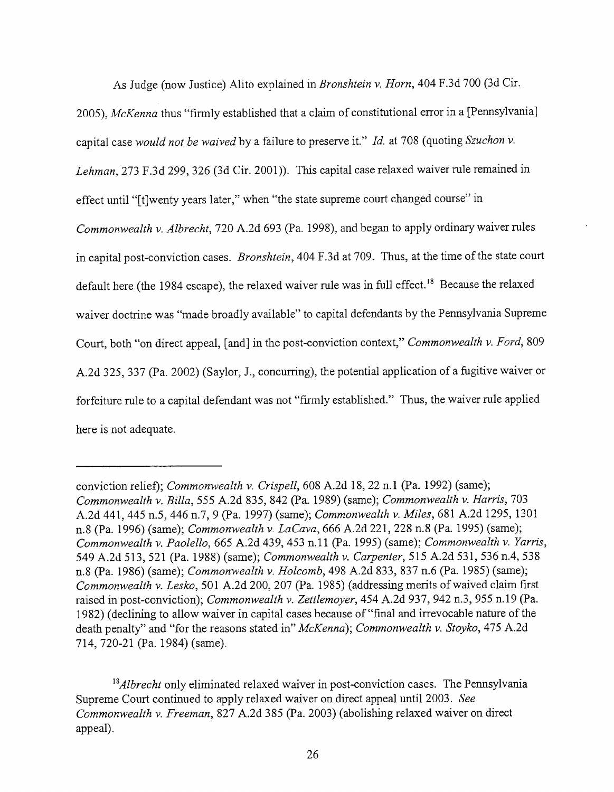As Judge (now Justice) Alito explained in *Bronshtein v. Horn,* 404 F.3d 700 (3d Cir.

2005), *McKenna* thus "firmly established that a claim of constitutional error in a [Pennsylvania] capital case *would not be waived* by a failure to preserve it." *Id.* at 708 (quoting *Szuchon v. Lehman,* 273 F.3d 299, 326 (3d Cir. 2001)). This capital case relaxed waiver rule remained in effect until "[t]wenty years later," when "the state supreme court changed course" in *Commonwealth v. Albrecht,* 720 A.2d 693 (Pa. 1998), and began to apply ordinary waiver rules in capital post-conviction cases. *Bronshtein,* 404 F.3d at 709. Thus, at the time of the state court default here (the 1984 escape), the relaxed waiver rule was in full effect.<sup>18</sup> Because the relaxed waiver doctrine was "made broadly available" to capital defendants by the Pennsylvania Supreme Court, both "on direct appeal, [and] in the post-conviction context," *Commonwealth v. Ford,* 809 A.2d 325,337 (Pa. 2002) (Saylor, J., concurring), the potential application of a fugitive waiver or forfeiture rule to a capital defendant was not "firmly established." Thus, the waiver rule applied here is not adequate.

conviction relief); *Commonwealth v. Crispell,* 608 A.2d 18, 22 n. 1 (Pa. 1992) (same); *Commonwealth v. Billa,* 555 A.2d 835,842 (Pa. 1989) (same); *Commonwealth v. Harris,* 703 A.2d 441,445 n.5,446 n.7, 9 (Pa. 1997) (same); *Commonwealth v. Miles,* 681 A.2d 1295, 1301 n.8 (Pa. 1996) (same); *Commonwealth v. LaCava,* 666 A.2d 221,228 n.8 (Pa. 1995) (same); *Commonwealth v. Paolello,* 665 A.2d 439, 453 n.ll (Pa. 1995) (same); *Commonwealth v. Yarris,* 549 A.2d 513,521 (Pa. 1988) (same); *Commonwealth v. Carpenter,* 515 A.2d 531,536 n.4, 538 n.8 (Pa. 1986) (same); *Commonwealth v. Holcomb,* 498 A.2d 833, 837 n.6 (Pa. 1985) (same); *Commonwealth v. Lesko,* 501 A.2d 200, 207 (Pa. 1985) (addressing merits of waived claim first raised in post-conviction); *Commonwealth v. Zettlemoyer,* 454 A.2d 937, 942 n.3,955 n. 19 (Pa. 1982) (declining to allow waiver in capital cases because of"final and irrevocable nature of the death penalty" and "for the reasons stated in" *McKenna); Commonwealth v. Stoyko,* 475 A.2d 714, 720-21 (Pa. 1984) (same).

<sup>&</sup>lt;sup>18</sup> Albrecht only eliminated relaxed waiver in post-conviction cases. The Pennsylvania Supreme Court continued to apply relaxed waiver on direct appeal until 2003. *See Commonwealth v. Freeman,* 827 A.2d 385 (Pa. 2003) (abolishing relaxed waiver on direct appeal).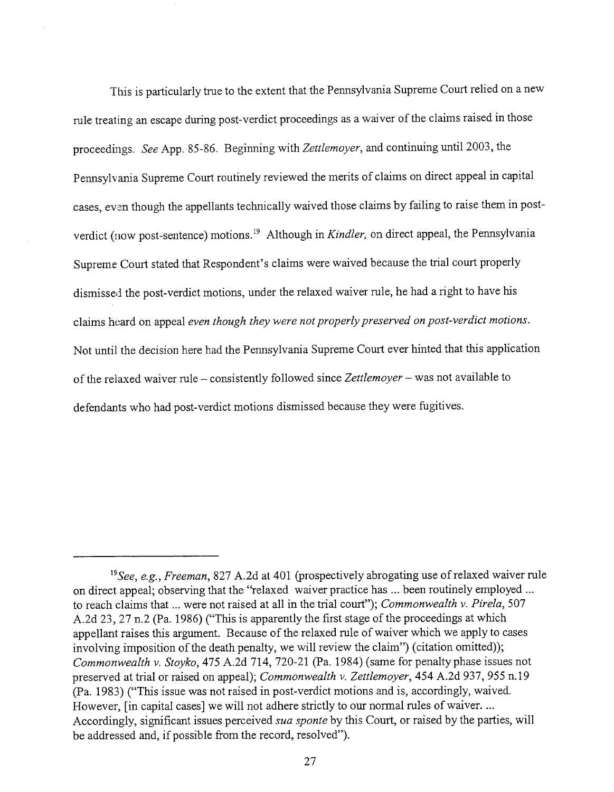This is particularly true to the extent that the Pennsylvania Supreme Court relied on a new rule treating an escape during post-verdict proceedings as a waiver of the claims raised in those proceedings. *See* App. 85-86. Beginning with *Zettlemoyer,* and continuing until 2003, the Pennsylvania Supreme Court routinely reviewed the merits of claims on direct appeal in capital cases, even though the appellants technically waived those claims by failing to raise them in postverdict (now post-sentence) motions.19 Although in *Kindler,* on direct appeal, the Pennsylvania Supreme Court stated that Respondent's claims were waived because the trial court properly dismissed the post-verdict motions, under the relaxed waiver rule, he had a right to have his claims heard on appeal *even though they were not properly preserved on post-verdict motions.* Not until the decision here had the Pennsylvania Supreme Court ever hinted that this application of the relaxed waiver rule - consistently followed since *Zettlemoyer -* was not available to defendants who had post-verdict motions dismissed because they were fugitives.

*<sup>19</sup>See, e.g., Freeman,* 827 A.2d at 401 (prospectively abrogating use of relaxed waiver rule on direct appeal; observing that the "relaxed waiver practice has ... been routinely employed ... to reach claims that ... were not raised at all in the trial court"); *Commonwealth v. Pirela,* 507 A.2d 23, 27 n.2 (Pa. 1986) ("This is apparently the first stage of the proceedings at which appellant raises this argument. Because of the relaxed rule of waiver which we apply to cases involving imposition of the death penalty, we will review the claim") (citation omitted)); *Commonwealth v. Stoyko,* 475 A.2d 714, 720-21 (Pa. 1984) (same for penalty phase issues not preserved at trial or raised on appeal); *Commonwealth v. Zettlemoyer,* 454 A.2d 937, 955 n. 19 (Pa. 1983) ("This issue was not raised in post-verdict motions and is, accordingly, waived. However, [in capital cases] we will not adhere strictly to our normal rules of waiver... Accordingly, significant issues perceived *sua sponte* by this Court, or raised by the parties, will be addressed and, if possible from the record, resolved").